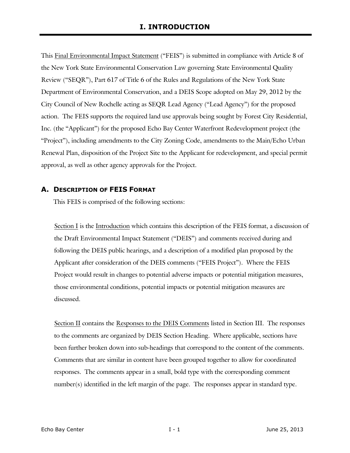This Final Environmental Impact Statement ("FEIS") is submitted in compliance with Article 8 of the New York State Environmental Conservation Law governing State Environmental Quality Review ("SEQR"), Part 617 of Title 6 of the Rules and Regulations of the New York State Department of Environmental Conservation, and a DEIS Scope adopted on May 29, 2012 by the City Council of New Rochelle acting as SEQR Lead Agency ("Lead Agency") for the proposed action. The FEIS supports the required land use approvals being sought by Forest City Residential, Inc. (the "Applicant") for the proposed Echo Bay Center Waterfront Redevelopment project (the "Project"), including amendments to the City Zoning Code, amendments to the Main/Echo Urban Renewal Plan, disposition of the Project Site to the Applicant for redevelopment, and special permit approval, as well as other agency approvals for the Project.

#### **A. DESCRIPTION OF FEIS FORMAT**

This FEIS is comprised of the following sections:

Section I is the Introduction which contains this description of the FEIS format, a discussion of the Draft Environmental Impact Statement ("DEIS") and comments received during and following the DEIS public hearings, and a description of a modified plan proposed by the Applicant after consideration of the DEIS comments ("FEIS Project"). Where the FEIS Project would result in changes to potential adverse impacts or potential mitigation measures, those environmental conditions, potential impacts or potential mitigation measures are discussed.

Section II contains the Responses to the DEIS Comments listed in Section III. The responses to the comments are organized by DEIS Section Heading. Where applicable, sections have been further broken down into sub-headings that correspond to the content of the comments. Comments that are similar in content have been grouped together to allow for coordinated responses. The comments appear in a small, bold type with the corresponding comment number(s) identified in the left margin of the page. The responses appear in standard type.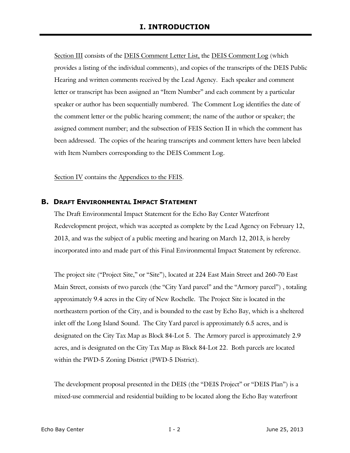Section III consists of the DEIS Comment Letter List, the DEIS Comment Log (which provides a listing of the individual comments), and copies of the transcripts of the DEIS Public Hearing and written comments received by the Lead Agency. Each speaker and comment letter or transcript has been assigned an "Item Number" and each comment by a particular speaker or author has been sequentially numbered. The Comment Log identifies the date of the comment letter or the public hearing comment; the name of the author or speaker; the assigned comment number; and the subsection of FEIS Section II in which the comment has been addressed. The copies of the hearing transcripts and comment letters have been labeled with Item Numbers corresponding to the DEIS Comment Log.

Section IV contains the Appendices to the FEIS.

#### **B. DRAFT ENVIRONMENTAL IMPACT STATEMENT**

The Draft Environmental Impact Statement for the Echo Bay Center Waterfront Redevelopment project, which was accepted as complete by the Lead Agency on February 12, 2013, and was the subject of a public meeting and hearing on March 12, 2013, is hereby incorporated into and made part of this Final Environmental Impact Statement by reference.

The project site ("Project Site," or "Site"), located at 224 East Main Street and 260-70 East Main Street, consists of two parcels (the "City Yard parcel" and the "Armory parcel") , totaling approximately 9.4 acres in the City of New Rochelle. The Project Site is located in the northeastern portion of the City, and is bounded to the east by Echo Bay, which is a sheltered inlet off the Long Island Sound. The City Yard parcel is approximately 6.5 acres, and is designated on the City Tax Map as Block 84-Lot 5. The Armory parcel is approximately 2.9 acres, and is designated on the City Tax Map as Block 84-Lot 22. Both parcels are located within the PWD-5 Zoning District (PWD-5 District).

The development proposal presented in the DEIS (the "DEIS Project" or "DEIS Plan") is a mixed-use commercial and residential building to be located along the Echo Bay waterfront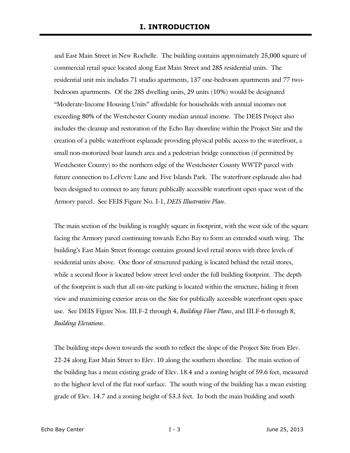and East Main Street in New Rochelle. The building contains approximately 25,000 square of commercial retail space located along East Main Street and 285 residential units. The residential unit mix includes 71 studio apartments, 137 one-bedroom apartments and 77 twobedroom apartments. Of the 285 dwelling units, 29 units (10%) would be designated "Moderate-Income Housing Units" affordable for households with annual incomes not exceeding 80% of the Westchester County median annual income. The DEIS Project also includes the cleanup and restoration of the Echo Bay shoreline within the Project Site and the creation of a public waterfront esplanade providing physical public access to the waterfront, a small non-motorized boat launch area and a pedestrian bridge connection (if permitted by Westchester County) to the northern edge of the Westchester County WWTP parcel with future connection to LeFevre Lane and Five Islands Park. The waterfront esplanade also had been designed to connect to any future publically accessible waterfront open space west of the Armory parcel. See FEIS Figure No. I-1, *DEIS Illustrative Plan*.

The main section of the building is roughly square in footprint, with the west side of the square facing the Armory parcel continuing towards Echo Bay to form an extended south wing. The building's East Main Street frontage contains ground level retail stores with three levels of residential units above. One floor of structured parking is located behind the retail stores, while a second floor is located below street level under the full building footprint. The depth of the footprint is such that all on-site parking is located within the structure, hiding it from view and maximizing exterior areas on the Site for publically accessible waterfront open space use. See DEIS Figure Nos. III.F-2 through 4, *Building Floor Plans*, and III.F-6 through 8, *Building Elevations*.

The building steps down towards the south to reflect the slope of the Project Site from Elev. 22-24 along East Main Street to Elev. 10 along the southern shoreline. The main section of the building has a mean existing grade of Elev. 18.4 and a zoning height of 59.6 feet, measured to the highest level of the flat roof surface. The south wing of the building has a mean existing grade of Elev. 14.7 and a zoning height of 53.3 feet. In both the main building and south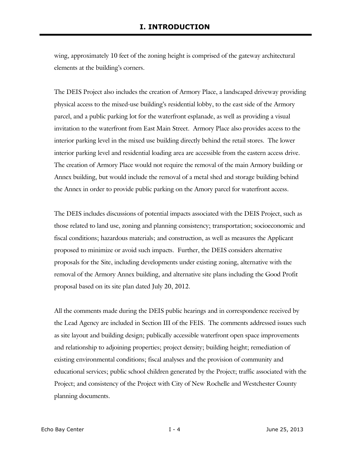wing, approximately 10 feet of the zoning height is comprised of the gateway architectural elements at the building's corners.

The DEIS Project also includes the creation of Armory Place, a landscaped driveway providing physical access to the mixed-use building's residential lobby, to the east side of the Armory parcel, and a public parking lot for the waterfront esplanade, as well as providing a visual invitation to the waterfront from East Main Street. Armory Place also provides access to the interior parking level in the mixed use building directly behind the retail stores. The lower interior parking level and residential loading area are accessible from the eastern access drive. The creation of Armory Place would not require the removal of the main Armory building or Annex building, but would include the removal of a metal shed and storage building behind the Annex in order to provide public parking on the Amory parcel for waterfront access.

The DEIS includes discussions of potential impacts associated with the DEIS Project, such as those related to land use, zoning and planning consistency; transportation; socioeconomic and fiscal conditions; hazardous materials; and construction, as well as measures the Applicant proposed to minimize or avoid such impacts. Further, the DEIS considers alternative proposals for the Site, including developments under existing zoning, alternative with the removal of the Armory Annex building, and alternative site plans including the Good Profit proposal based on its site plan dated July 20, 2012.

All the comments made during the DEIS public hearings and in correspondence received by the Lead Agency are included in Section III of the FEIS. The comments addressed issues such as site layout and building design; publically accessible waterfront open space improvements and relationship to adjoining properties; project density; building height; remediation of existing environmental conditions; fiscal analyses and the provision of community and educational services; public school children generated by the Project; traffic associated with the Project; and consistency of the Project with City of New Rochelle and Westchester County planning documents.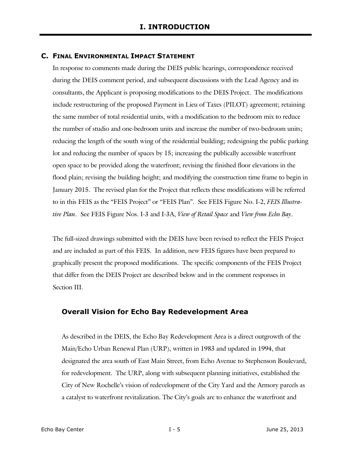#### **C. FINAL ENVIRONMENTAL IMPACT STATEMENT**

In response to comments made during the DEIS public hearings, correspondence received during the DEIS comment period, and subsequent discussions with the Lead Agency and its consultants, the Applicant is proposing modifications to the DEIS Project. The modifications include restructuring of the proposed Payment in Lieu of Taxes (PILOT) agreement; retaining the same number of total residential units, with a modification to the bedroom mix to reduce the number of studio and one-bedroom units and increase the number of two-bedroom units; reducing the length of the south wing of the residential building; redesigning the public parking lot and reducing the number of spaces by 15; increasing the publically accessible waterfront open space to be provided along the waterfront; revising the finished floor elevations in the flood plain; revising the building height; and modifying the construction time frame to begin in January 2015. The revised plan for the Project that reflects these modifications will be referred to in this FEIS as the "FEIS Project" or "FEIS Plan". See FEIS Figure No. I-2, *FEIS Illustrative Plan*. See FEIS Figure Nos. I-3 and I-3A, *View of Retail Space* and *View from Echo Bay*.

The full-sized drawings submitted with the DEIS have been revised to reflect the FEIS Project and are included as part of this FEIS. In addition, new FEIS figures have been prepared to graphically present the proposed modifications. The specific components of the FEIS Project that differ from the DEIS Project are described below and in the comment responses in Section III.

## **Overall Vision for Echo Bay Redevelopment Area**

As described in the DEIS, the Echo Bay Redevelopment Area is a direct outgrowth of the Main/Echo Urban Renewal Plan (URP), written in 1983 and updated in 1994, that designated the area south of East Main Street, from Echo Avenue to Stephenson Boulevard, for redevelopment. The URP, along with subsequent planning initiatives, established the City of New Rochelle's vision of redevelopment of the City Yard and the Armory parcels as a catalyst to waterfront revitalization. The City's goals are to enhance the waterfront and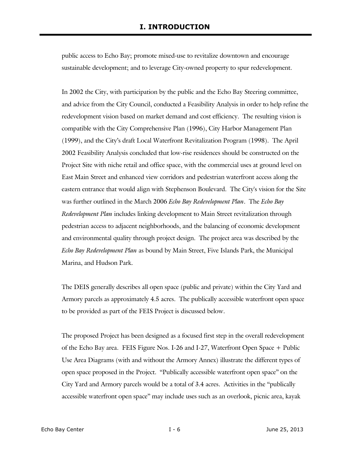public access to Echo Bay; promote mixed-use to revitalize downtown and encourage sustainable development; and to leverage City-owned property to spur redevelopment.

In 2002 the City, with participation by the public and the Echo Bay Steering committee, and advice from the City Council, conducted a Feasibility Analysis in order to help refine the redevelopment vision based on market demand and cost efficiency. The resulting vision is compatible with the City Comprehensive Plan (1996), City Harbor Management Plan (1999), and the City's draft Local Waterfront Revitalization Program (1998). The April 2002 Feasibility Analysis concluded that low-rise residences should be constructed on the Project Site with niche retail and office space, with the commercial uses at ground level on East Main Street and enhanced view corridors and pedestrian waterfront access along the eastern entrance that would align with Stephenson Boulevard. The City's vision for the Site was further outlined in the March 2006 *Echo Bay Redevelopment Plan*. The *Echo Bay Redevelopment Plan* includes linking development to Main Street revitalization through pedestrian access to adjacent neighborhoods, and the balancing of economic development and environmental quality through project design. The project area was described by the *Echo Bay Redevelopment Plan* as bound by Main Street, Five Islands Park, the Municipal Marina, and Hudson Park.

The DEIS generally describes all open space (public and private) within the City Yard and Armory parcels as approximately 4.5 acres. The publically accessible waterfront open space to be provided as part of the FEIS Project is discussed below.

The proposed Project has been designed as a focused first step in the overall redevelopment of the Echo Bay area. FEIS Figure Nos. I-26 and I-27, Waterfront Open Space + Public Use Area Diagrams (with and without the Armory Annex) illustrate the different types of open space proposed in the Project. "Publically accessible waterfront open space" on the City Yard and Armory parcels would be a total of 3.4 acres. Activities in the "publically accessible waterfront open space" may include uses such as an overlook, picnic area, kayak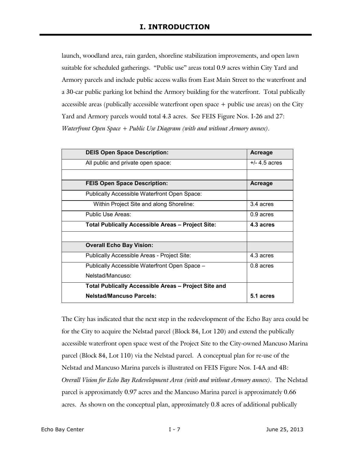launch, woodland area, rain garden, shoreline stabilization improvements, and open lawn suitable for scheduled gatherings. "Public use" areas total 0.9 acres within City Yard and Armory parcels and include public access walks from East Main Street to the waterfront and a 30-car public parking lot behind the Armory building for the waterfront. Total publically accessible areas (publically accessible waterfront open space + public use areas) on the City Yard and Armory parcels would total 4.3 acres. See FEIS Figure Nos. I-26 and 27: *Waterfront Open Space + Public Use Diagram (with and without Armory annex).*

| <b>DEIS Open Space Description:</b>                         | Acreage         |
|-------------------------------------------------------------|-----------------|
| All public and private open space:                          | $+/- 4.5$ acres |
|                                                             |                 |
| <b>FEIS Open Space Description:</b>                         | Acreage         |
| Publically Accessible Waterfront Open Space:                |                 |
| Within Project Site and along Shoreline:                    | 3.4 acres       |
| Public Use Areas:                                           | $0.9$ acres     |
| <b>Total Publically Accessible Areas - Project Site:</b>    | 4.3 acres       |
|                                                             |                 |
| <b>Overall Echo Bay Vision:</b>                             |                 |
| Publically Accessible Areas - Project Site:                 | 4.3 acres       |
| Publically Accessible Waterfront Open Space -               | 0.8 acres       |
| Nelstad/Mancuso:                                            |                 |
| <b>Total Publically Accessible Areas - Project Site and</b> |                 |
| <b>Nelstad/Mancuso Parcels:</b>                             | 5.1 acres       |

The City has indicated that the next step in the redevelopment of the Echo Bay area could be for the City to acquire the Nelstad parcel (Block 84, Lot 120) and extend the publically accessible waterfront open space west of the Project Site to the City-owned Mancuso Marina parcel (Block 84, Lot 110) via the Nelstad parcel. A conceptual plan for re-use of the Nelstad and Mancuso Marina parcels is illustrated on FEIS Figure Nos. I-4A and 4B: *Overall Vision for Echo Bay Redevelopment Area (with and without Armory annex).* The Nelstad parcel is approximately 0.97 acres and the Mancuso Marina parcel is approximately 0.66 acres. As shown on the conceptual plan, approximately 0.8 acres of additional publically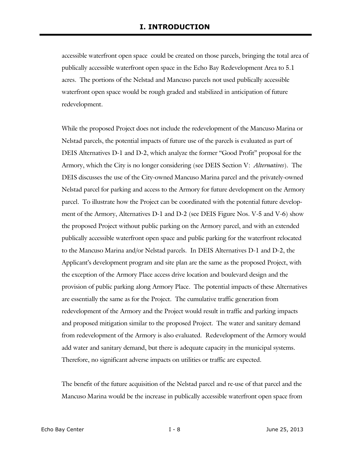accessible waterfront open space could be created on those parcels, bringing the total area of publically accessible waterfront open space in the Echo Bay Redevelopment Area to 5.1 acres. The portions of the Nelstad and Mancuso parcels not used publically accessible waterfront open space would be rough graded and stabilized in anticipation of future redevelopment.

While the proposed Project does not include the redevelopment of the Mancuso Marina or Nelstad parcels, the potential impacts of future use of the parcels is evaluated as part of DEIS Alternatives D-1 and D-2, which analyze the former "Good Profit" proposal for the Armory, which the City is no longer considering (see DEIS Section V: *Alternatives*). The DEIS discusses the use of the City-owned Mancuso Marina parcel and the privately-owned Nelstad parcel for parking and access to the Armory for future development on the Armory parcel. To illustrate how the Project can be coordinated with the potential future development of the Armory, Alternatives D-1 and D-2 (see DEIS Figure Nos. V-5 and V-6) show the proposed Project without public parking on the Armory parcel, and with an extended publically accessible waterfront open space and public parking for the waterfront relocated to the Mancuso Marina and/or Nelstad parcels. In DEIS Alternatives D-1 and D-2, the Applicant's development program and site plan are the same as the proposed Project, with the exception of the Armory Place access drive location and boulevard design and the provision of public parking along Armory Place. The potential impacts of these Alternatives are essentially the same as for the Project. The cumulative traffic generation from redevelopment of the Armory and the Project would result in traffic and parking impacts and proposed mitigation similar to the proposed Project. The water and sanitary demand from redevelopment of the Armory is also evaluated. Redevelopment of the Armory would add water and sanitary demand, but there is adequate capacity in the municipal systems. Therefore, no significant adverse impacts on utilities or traffic are expected.

The benefit of the future acquisition of the Nelstad parcel and re-use of that parcel and the Mancuso Marina would be the increase in publically accessible waterfront open space from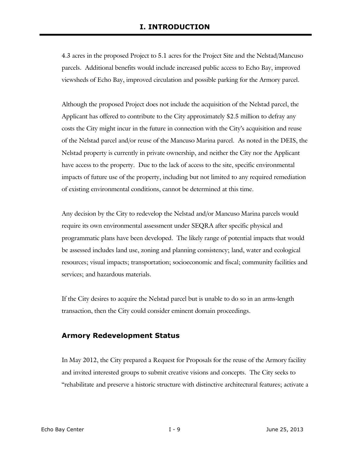4.3 acres in the proposed Project to 5.1 acres for the Project Site and the Nelstad/Mancuso parcels. Additional benefits would include increased public access to Echo Bay, improved viewsheds of Echo Bay, improved circulation and possible parking for the Armory parcel.

Although the proposed Project does not include the acquisition of the Nelstad parcel, the Applicant has offered to contribute to the City approximately \$2.5 million to defray any costs the City might incur in the future in connection with the City's acquisition and reuse of the Nelstad parcel and/or reuse of the Mancuso Marina parcel. As noted in the DEIS, the Nelstad property is currently in private ownership, and neither the City nor the Applicant have access to the property. Due to the lack of access to the site, specific environmental impacts of future use of the property, including but not limited to any required remediation of existing environmental conditions, cannot be determined at this time.

Any decision by the City to redevelop the Nelstad and/or Mancuso Marina parcels would require its own environmental assessment under SEQRA after specific physical and programmatic plans have been developed. The likely range of potential impacts that would be assessed includes land use, zoning and planning consistency; land, water and ecological resources; visual impacts; transportation; socioeconomic and fiscal; community facilities and services; and hazardous materials.

If the City desires to acquire the Nelstad parcel but is unable to do so in an arms-length transaction, then the City could consider eminent domain proceedings.

## **Armory Redevelopment Status**

In May 2012, the City prepared a Request for Proposals for the reuse of the Armory facility and invited interested groups to submit creative visions and concepts. The City seeks to "rehabilitate and preserve a historic structure with distinctive architectural features; activate a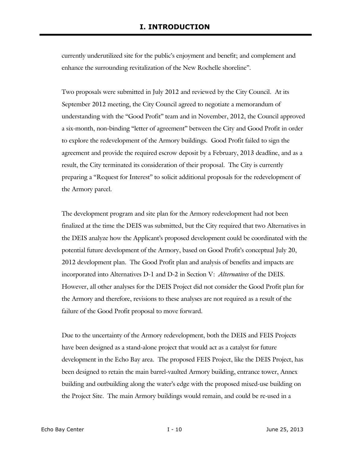currently underutilized site for the public's enjoyment and benefit; and complement and enhance the surrounding revitalization of the New Rochelle shoreline".

Two proposals were submitted in July 2012 and reviewed by the City Council. At its September 2012 meeting, the City Council agreed to negotiate a memorandum of understanding with the "Good Profit" team and in November, 2012, the Council approved a six-month, non-binding "letter of agreement" between the City and Good Profit in order to explore the redevelopment of the Armory buildings. Good Profit failed to sign the agreement and provide the required escrow deposit by a February, 2013 deadline, and as a result, the City terminated its consideration of their proposal. The City is currently preparing a "Request for Interest" to solicit additional proposals for the redevelopment of the Armory parcel.

The development program and site plan for the Armory redevelopment had not been finalized at the time the DEIS was submitted, but the City required that two Alternatives in the DEIS analyze how the Applicant's proposed development could be coordinated with the potential future development of the Armory, based on Good Profit's conceptual July 20, 2012 development plan. The Good Profit plan and analysis of benefits and impacts are incorporated into Alternatives D-1 and D-2 in Section V: *Alternatives* of the DEIS. However, all other analyses for the DEIS Project did not consider the Good Profit plan for the Armory and therefore, revisions to these analyses are not required as a result of the failure of the Good Profit proposal to move forward.

Due to the uncertainty of the Armory redevelopment, both the DEIS and FEIS Projects have been designed as a stand-alone project that would act as a catalyst for future development in the Echo Bay area. The proposed FEIS Project, like the DEIS Project, has been designed to retain the main barrel-vaulted Armory building, entrance tower, Annex building and outbuilding along the water's edge with the proposed mixed-use building on the Project Site. The main Armory buildings would remain, and could be re-used in a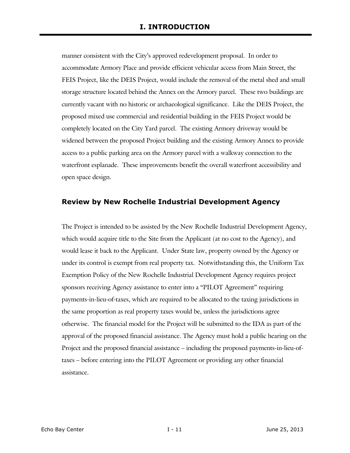manner consistent with the City's approved redevelopment proposal. In order to accommodate Armory Place and provide efficient vehicular access from Main Street, the FEIS Project, like the DEIS Project, would include the removal of the metal shed and small storage structure located behind the Annex on the Armory parcel. These two buildings are currently vacant with no historic or archaeological significance. Like the DEIS Project, the proposed mixed use commercial and residential building in the FEIS Project would be completely located on the City Yard parcel. The existing Armory driveway would be widened between the proposed Project building and the existing Armory Annex to provide access to a public parking area on the Armory parcel with a walkway connection to the waterfront esplanade. These improvements benefit the overall waterfront accessibility and open space design.

# **Review by New Rochelle Industrial Development Agency**

The Project is intended to be assisted by the New Rochelle Industrial Development Agency, which would acquire title to the Site from the Applicant (at no cost to the Agency), and would lease it back to the Applicant. Under State law, property owned by the Agency or under its control is exempt from real property tax. Notwithstanding this, the Uniform Tax Exemption Policy of the New Rochelle Industrial Development Agency requires project sponsors receiving Agency assistance to enter into a "PILOT Agreement" requiring payments-in-lieu-of-taxes, which are required to be allocated to the taxing jurisdictions in the same proportion as real property taxes would be, unless the jurisdictions agree otherwise. The financial model for the Project will be submitted to the IDA as part of the approval of the proposed financial assistance. The Agency must hold a public hearing on the Project and the proposed financial assistance – including the proposed payments-in-lieu-oftaxes – before entering into the PILOT Agreement or providing any other financial assistance.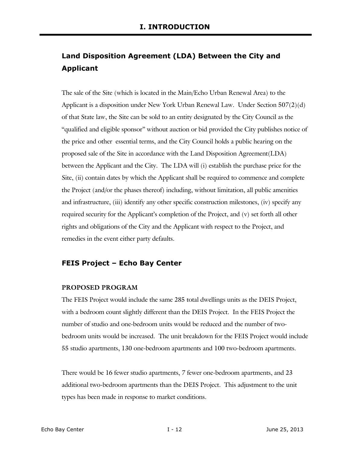# **Land Disposition Agreement (LDA) Between the City and Applicant**

The sale of the Site (which is located in the Main/Echo Urban Renewal Area) to the Applicant is a disposition under New York Urban Renewal Law. Under Section  $507(2)(d)$ of that State law, the Site can be sold to an entity designated by the City Council as the "qualified and eligible sponsor" without auction or bid provided the City publishes notice of the price and other essential terms, and the City Council holds a public hearing on the proposed sale of the Site in accordance with the Land Disposition Agreement(LDA) between the Applicant and the City. The LDA will (i) establish the purchase price for the Site, (ii) contain dates by which the Applicant shall be required to commence and complete the Project (and/or the phases thereof) including, without limitation, all public amenities and infrastructure, (iii) identify any other specific construction milestones, (iv) specify any required security for the Applicant's completion of the Project, and (v) set forth all other rights and obligations of the City and the Applicant with respect to the Project, and remedies in the event either party defaults.

# **FEIS Project – Echo Bay Center**

#### **PROPOSED PROGRAM**

The FEIS Project would include the same 285 total dwellings units as the DEIS Project, with a bedroom count slightly different than the DEIS Project. In the FEIS Project the number of studio and one-bedroom units would be reduced and the number of twobedroom units would be increased. The unit breakdown for the FEIS Project would include 55 studio apartments, 130 one-bedroom apartments and 100 two-bedroom apartments.

There would be 16 fewer studio apartments, 7 fewer one-bedroom apartments, and 23 additional two-bedroom apartments than the DEIS Project. This adjustment to the unit types has been made in response to market conditions.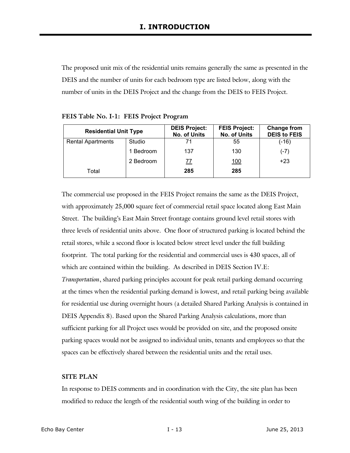The proposed unit mix of the residential units remains generally the same as presented in the DEIS and the number of units for each bedroom type are listed below, along with the number of units in the DEIS Project and the change from the DEIS to FEIS Project.

| <b>Residential Unit Type</b> |           | <b>DEIS Project:</b><br>No. of Units | <b>FEIS Project:</b><br>No. of Units | Change from<br><b>DEIS to FEIS</b> |
|------------------------------|-----------|--------------------------------------|--------------------------------------|------------------------------------|
| <b>Rental Apartments</b>     | Studio    | 71                                   | 55                                   | (-16)                              |
|                              | 1 Bedroom | 137                                  | 130                                  | $(-7)$                             |
|                              | 2 Bedroom | 77                                   | <u>100</u>                           | $+23$                              |
| Total                        |           | 285                                  | 285                                  |                                    |

**FEIS Table No. I-1: FEIS Project Program** 

The commercial use proposed in the FEIS Project remains the same as the DEIS Project, with approximately 25,000 square feet of commercial retail space located along East Main Street. The building's East Main Street frontage contains ground level retail stores with three levels of residential units above. One floor of structured parking is located behind the retail stores, while a second floor is located below street level under the full building footprint. The total parking for the residential and commercial uses is 430 spaces, all of which are contained within the building. As described in DEIS Section IV.E: *Transportation*, shared parking principles account for peak retail parking demand occurring at the times when the residential parking demand is lowest, and retail parking being available for residential use during overnight hours (a detailed Shared Parking Analysis is contained in DEIS Appendix 8). Based upon the Shared Parking Analysis calculations, more than sufficient parking for all Project uses would be provided on site, and the proposed onsite parking spaces would not be assigned to individual units, tenants and employees so that the spaces can be effectively shared between the residential units and the retail uses.

#### **SITE PLAN**

In response to DEIS comments and in coordination with the City, the site plan has been modified to reduce the length of the residential south wing of the building in order to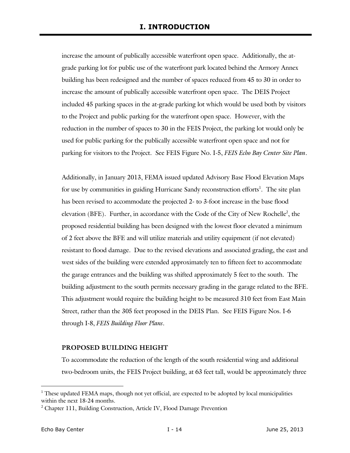increase the amount of publically accessible waterfront open space. Additionally, the atgrade parking lot for public use of the waterfront park located behind the Armory Annex building has been redesigned and the number of spaces reduced from 45 to 30 in order to increase the amount of publically accessible waterfront open space. The DEIS Project included 45 parking spaces in the at-grade parking lot which would be used both by visitors to the Project and public parking for the waterfront open space. However, with the reduction in the number of spaces to 30 in the FEIS Project, the parking lot would only be used for public parking for the publically accessible waterfront open space and not for parking for visitors to the Project. See FEIS Figure No. I-5, *FEIS Echo Bay Center Site Plan*.

Additionally, in January 2013, FEMA issued updated Advisory Base Flood Elevation Maps for use by communities in guiding Hurricane Sandy reconstruction efforts<sup>1</sup>. The site plan has been revised to accommodate the projected 2- to 3-foot increase in the base flood elevation (BFE). Further, in accordance with the Code of the City of New Rochelle<sup>2</sup>, the proposed residential building has been designed with the lowest floor elevated a minimum of 2 feet above the BFE and will utilize materials and utility equipment (if not elevated) resistant to flood damage. Due to the revised elevations and associated grading, the east and west sides of the building were extended approximately ten to fifteen feet to accommodate the garage entrances and the building was shifted approximately 5 feet to the south. The building adjustment to the south permits necessary grading in the garage related to the BFE. This adjustment would require the building height to be measured 310 feet from East Main Street, rather than the 305 feet proposed in the DEIS Plan. See FEIS Figure Nos. I-6 through I-8, *FEIS Building Floor Plans*.

#### **PROPOSED BUILDING HEIGHT**

To accommodate the reduction of the length of the south residential wing and additional two-bedroom units, the FEIS Project building, at 63 feet tall, would be approximately three

j

<sup>&</sup>lt;sup>1</sup> These updated FEMA maps, though not yet official, are expected to be adopted by local municipalities within the next 18-24 months.

<sup>&</sup>lt;sup>2</sup> Chapter 111, Building Construction, Article IV, Flood Damage Prevention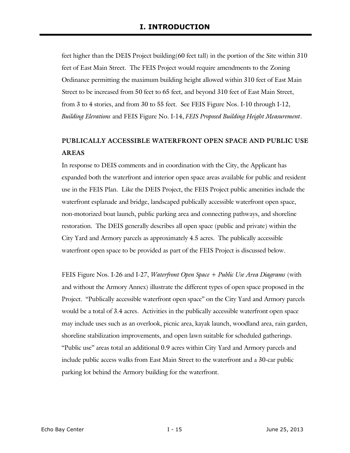feet higher than the DEIS Project building(60 feet tall) in the portion of the Site within 310 feet of East Main Street. The FEIS Project would require amendments to the Zoning Ordinance permitting the maximum building height allowed within 310 feet of East Main Street to be increased from 50 feet to 65 feet, and beyond 310 feet of East Main Street, from 3 to 4 stories, and from 30 to 55 feet. See FEIS Figure Nos. I-10 through I-12, *Building Elevations* and FEIS Figure No. I-14, *FEIS Proposed Building Height Measurement*.

# **PUBLICALLY ACCESSIBLE WATERFRONT OPEN SPACE AND PUBLIC USE AREAS**

In response to DEIS comments and in coordination with the City, the Applicant has expanded both the waterfront and interior open space areas available for public and resident use in the FEIS Plan. Like the DEIS Project, the FEIS Project public amenities include the waterfront esplanade and bridge, landscaped publically accessible waterfront open space, non-motorized boat launch, public parking area and connecting pathways, and shoreline restoration. The DEIS generally describes all open space (public and private) within the City Yard and Armory parcels as approximately 4.5 acres. The publically accessible waterfront open space to be provided as part of the FEIS Project is discussed below.

FEIS Figure Nos. I-26 and I-27, *Waterfront Open Space + Public Use Area Diagrams* (with and without the Armory Annex) illustrate the different types of open space proposed in the Project. "Publically accessible waterfront open space" on the City Yard and Armory parcels would be a total of 3.4 acres. Activities in the publically accessible waterfront open space may include uses such as an overlook, picnic area, kayak launch, woodland area, rain garden, shoreline stabilization improvements, and open lawn suitable for scheduled gatherings. "Public use" areas total an additional 0.9 acres within City Yard and Armory parcels and include public access walks from East Main Street to the waterfront and a 30-car public parking lot behind the Armory building for the waterfront.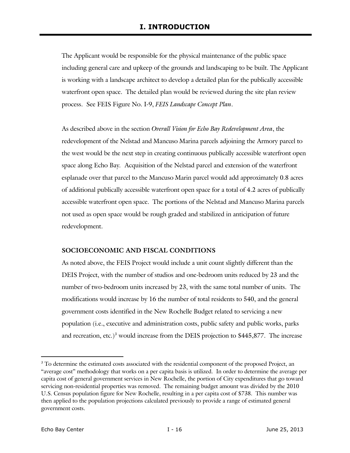The Applicant would be responsible for the physical maintenance of the public space including general care and upkeep of the grounds and landscaping to be built. The Applicant is working with a landscape architect to develop a detailed plan for the publically accessible waterfront open space. The detailed plan would be reviewed during the site plan review process. See FEIS Figure No. I-9, *FEIS Landscape Concept Plan*.

As described above in the section *Overall Vision for Echo Bay Redevelopment Area*, the redevelopment of the Nelstad and Mancuso Marina parcels adjoining the Armory parcel to the west would be the next step in creating continuous publically accessible waterfront open space along Echo Bay*.* Acquisition of the Nelstad parcel and extension of the waterfront esplanade over that parcel to the Mancuso Marin parcel would add approximately 0.8 acres of additional publically accessible waterfront open space for a total of 4.2 acres of publically accessible waterfront open space. The portions of the Nelstad and Mancuso Marina parcels not used as open space would be rough graded and stabilized in anticipation of future redevelopment.

#### **SOCIOECONOMIC AND FISCAL CONDITIONS**

As noted above, the FEIS Project would include a unit count slightly different than the DEIS Project, with the number of studios and one-bedroom units reduced by 23 and the number of two-bedroom units increased by 23, with the same total number of units. The modifications would increase by 16 the number of total residents to 540, and the general government costs identified in the New Rochelle Budget related to servicing a new population (i.e., executive and administration costs, public safety and public works, parks and recreation, etc.)<sup>3</sup> would increase from the DEIS projection to \$445,877. The increase

-

<sup>&</sup>lt;sup>3</sup> To determine the estimated costs associated with the residential component of the proposed Project, an "average cost" methodology that works on a per capita basis is utilized. In order to determine the average per capita cost of general government services in New Rochelle, the portion of City expenditures that go toward servicing non-residential properties was removed. The remaining budget amount was divided by the 2010 U.S. Census population figure for New Rochelle, resulting in a per capita cost of \$738. This number was then applied to the population projections calculated previously to provide a range of estimated general government costs.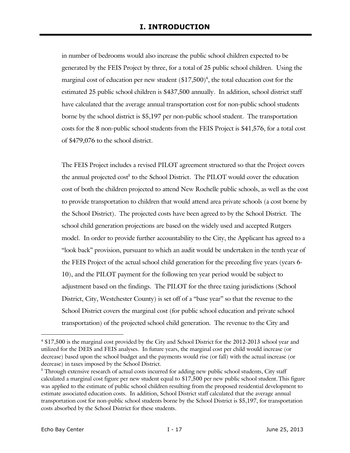in number of bedrooms would also increase the public school children expected to be generated by the FEIS Project by three, for a total of 25 public school children. Using the marginal cost of education per new student (\$17,500) 4 , the total education cost for the estimated 25 public school children is \$437,500 annually. In addition, school district staff have calculated that the average annual transportation cost for non-public school students borne by the school district is \$5,197 per non-public school student. The transportation costs for the 8 non-public school students from the FEIS Project is \$41,576, for a total cost of \$479,076 to the school district.

The FEIS Project includes a revised PILOT agreement structured so that the Project covers the annual projected cost<sup>5</sup> to the School District. The PILOT would cover the education cost of both the children projected to attend New Rochelle public schools, as well as the cost to provide transportation to children that would attend area private schools (a cost borne by the School District). The projected costs have been agreed to by the School District. The school child generation projections are based on the widely used and accepted Rutgers model. In order to provide further accountability to the City, the Applicant has agreed to a "look back" provision, pursuant to which an audit would be undertaken in the tenth year of the FEIS Project of the actual school child generation for the preceding five years (years 6- 10), and the PILOT payment for the following ten year period would be subject to adjustment based on the findings. The PILOT for the three taxing jurisdictions (School District, City, Westchester County) is set off of a "base year" so that the revenue to the School District covers the marginal cost (for public school education and private school transportation) of the projected school child generation. The revenue to the City and

-

<sup>4</sup> \$17,500 is the marginal cost provided by the City and School District for the 2012-2013 school year and utilized for the DEIS and FEIS analyses. In future years, the marginal cost per child would increase (or decrease) based upon the school budget and the payments would rise (or fall) with the actual increase (or decrease) in taxes imposed by the School District.

<sup>&</sup>lt;sup>5</sup> Through extensive research of actual costs incurred for adding new public school students, City staff calculated a marginal cost figure per new student equal to \$17,500 per new public school student.This figure was applied to the estimate of public school children resulting from the proposed residential development to estimate associated education costs. In addition, School District staff calculated that the average annual transportation cost for non-public school students borne by the School District is \$5,197, for transportation costs absorbed by the School District for these students.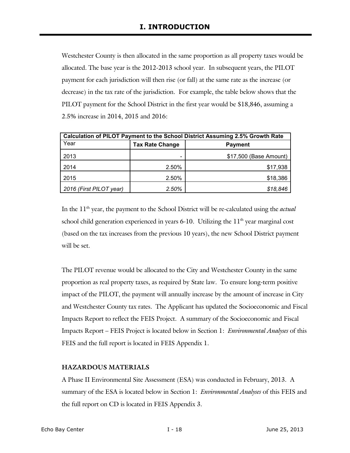Westchester County is then allocated in the same proportion as all property taxes would be allocated. The base year is the 2012-2013 school year. In subsequent years, the PILOT payment for each jurisdiction will then rise (or fall) at the same rate as the increase (or decrease) in the tax rate of the jurisdiction. For example, the table below shows that the PILOT payment for the School District in the first year would be \$18,846, assuming a 2.5% increase in 2014, 2015 and 2016:

| <b>Calculation of PILOT Payment to the School District Assuming 2.5% Growth Rate</b> |                        |                        |  |  |  |  |  |  |
|--------------------------------------------------------------------------------------|------------------------|------------------------|--|--|--|--|--|--|
| Year                                                                                 | <b>Tax Rate Change</b> | <b>Payment</b>         |  |  |  |  |  |  |
| 2013                                                                                 |                        | \$17,500 (Base Amount) |  |  |  |  |  |  |
| 2014                                                                                 | 2.50%                  | \$17,938               |  |  |  |  |  |  |
| 2015                                                                                 | 2.50%                  | \$18,386               |  |  |  |  |  |  |
| 2016 (First PILOT year)                                                              | 2.50%                  | \$18,846               |  |  |  |  |  |  |

In the 11<sup>th</sup> year, the payment to the School District will be re-calculated using the *actual* school child generation experienced in years  $6-10$ . Utilizing the  $11<sup>th</sup>$  year marginal cost (based on the tax increases from the previous 10 years), the new School District payment will be set.

The PILOT revenue would be allocated to the City and Westchester County in the same proportion as real property taxes, as required by State law. To ensure long-term positive impact of the PILOT, the payment will annually increase by the amount of increase in City and Westchester County tax rates. The Applicant has updated the Socioeconomic and Fiscal Impacts Report to reflect the FEIS Project. A summary of the Socioeconomic and Fiscal Impacts Report – FEIS Project is located below in Section 1: *Environmental Analyses* of this FEIS and the full report is located in FEIS Appendix 1.

## **HAZARDOUS MATERIALS**

A Phase II Environmental Site Assessment (ESA) was conducted in February, 2013. A summary of the ESA is located below in Section 1: *Environmental Analyses* of this FEIS and the full report on CD is located in FEIS Appendix 3.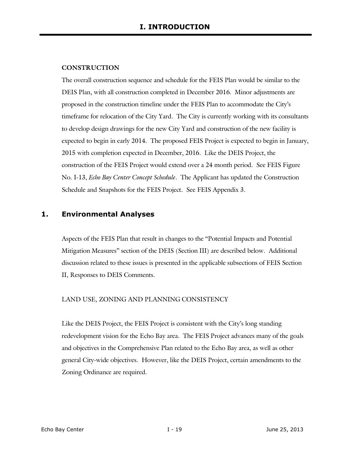#### **CONSTRUCTION**

The overall construction sequence and schedule for the FEIS Plan would be similar to the DEIS Plan, with all construction completed in December 2016. Minor adjustments are proposed in the construction timeline under the FEIS Plan to accommodate the City's timeframe for relocation of the City Yard. The City is currently working with its consultants to develop design drawings for the new City Yard and construction of the new facility is expected to begin in early 2014. The proposed FEIS Project is expected to begin in January, 2015 with completion expected in December, 2016. Like the DEIS Project, the construction of the FEIS Project would extend over a 24 month period. See FEIS Figure No. I-13, *Echo Bay Center Concept Schedule*. The Applicant has updated the Construction Schedule and Snapshots for the FEIS Project. See FEIS Appendix 3.

## **1. Environmental Analyses**

Aspects of the FEIS Plan that result in changes to the "Potential Impacts and Potential Mitigation Measures" section of the DEIS (Section III) are described below. Additional discussion related to these issues is presented in the applicable subsections of FEIS Section II, Responses to DEIS Comments.

#### LAND USE, ZONING AND PLANNING CONSISTENCY

Like the DEIS Project, the FEIS Project is consistent with the City's long standing redevelopment vision for the Echo Bay area. The FEIS Project advances many of the goals and objectives in the Comprehensive Plan related to the Echo Bay area, as well as other general City-wide objectives. However, like the DEIS Project, certain amendments to the Zoning Ordinance are required.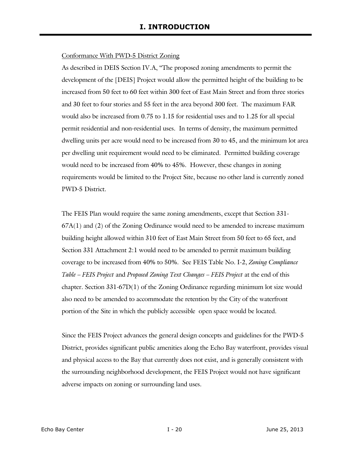#### Conformance With PWD-5 District Zoning

As described in DEIS Section IV.A, "The proposed zoning amendments to permit the development of the [DEIS] Project would allow the permitted height of the building to be increased from 50 feet to 60 feet within 300 feet of East Main Street and from three stories and 30 feet to four stories and 55 feet in the area beyond 300 feet. The maximum FAR would also be increased from 0.75 to 1.15 for residential uses and to 1.25 for all special permit residential and non-residential uses. In terms of density, the maximum permitted dwelling units per acre would need to be increased from 30 to 45, and the minimum lot area per dwelling unit requirement would need to be eliminated. Permitted building coverage would need to be increased from 40% to 45%. However, these changes in zoning requirements would be limited to the Project Site, because no other land is currently zoned PWD-5 District.

The FEIS Plan would require the same zoning amendments, except that Section 331-  $67A(1)$  and  $(2)$  of the Zoning Ordinance would need to be amended to increase maximum building height allowed within 310 feet of East Main Street from 50 feet to 65 feet, and Section 331 Attachment 2:1 would need to be amended to permit maximum building coverage to be increased from 40% to 50%. See FEIS Table No. I-2, *Zoning Compliance Table – FEIS Project* and *Proposed Zoning Text Changes – FEIS Project* at the end of this chapter. Section 331-67D(1) of the Zoning Ordinance regarding minimum lot size would also need to be amended to accommodate the retention by the City of the waterfront portion of the Site in which the publicly accessible open space would be located.

Since the FEIS Project advances the general design concepts and guidelines for the PWD-5 District, provides significant public amenities along the Echo Bay waterfront, provides visual and physical access to the Bay that currently does not exist, and is generally consistent with the surrounding neighborhood development, the FEIS Project would not have significant adverse impacts on zoning or surrounding land uses.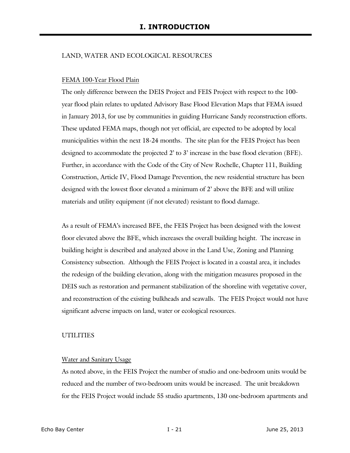#### LAND, WATER AND ECOLOGICAL RESOURCES

#### FEMA 100-Year Flood Plain

The only difference between the DEIS Project and FEIS Project with respect to the 100 year flood plain relates to updated Advisory Base Flood Elevation Maps that FEMA issued in January 2013, for use by communities in guiding Hurricane Sandy reconstruction efforts. These updated FEMA maps, though not yet official, are expected to be adopted by local municipalities within the next 18-24 months. The site plan for the FEIS Project has been designed to accommodate the projected 2' to 3' increase in the base flood elevation (BFE). Further, in accordance with the Code of the City of New Rochelle, Chapter 111, Building Construction, Article IV, Flood Damage Prevention, the new residential structure has been designed with the lowest floor elevated a minimum of 2' above the BFE and will utilize materials and utility equipment (if not elevated) resistant to flood damage.

As a result of FEMA's increased BFE, the FEIS Project has been designed with the lowest floor elevated above the BFE, which increases the overall building height. The increase in building height is described and analyzed above in the Land Use, Zoning and Planning Consistency subsection. Although the FEIS Project is located in a coastal area, it includes the redesign of the building elevation, along with the mitigation measures proposed in the DEIS such as restoration and permanent stabilization of the shoreline with vegetative cover, and reconstruction of the existing bulkheads and seawalls. The FEIS Project would not have significant adverse impacts on land, water or ecological resources.

#### **UTILITIES**

#### Water and Sanitary Usage

As noted above, in the FEIS Project the number of studio and one-bedroom units would be reduced and the number of two-bedroom units would be increased. The unit breakdown for the FEIS Project would include 55 studio apartments, 130 one-bedroom apartments and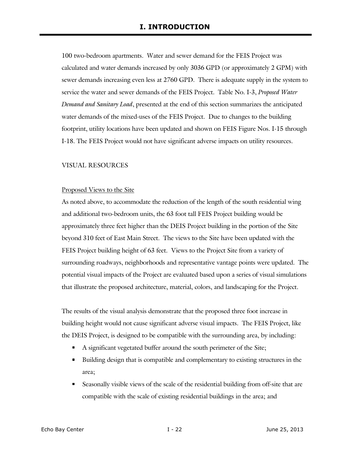100 two-bedroom apartments. Water and sewer demand for the FEIS Project was calculated and water demands increased by only 3036 GPD (or approximately 2 GPM) with sewer demands increasing even less at 2760 GPD. There is adequate supply in the system to service the water and sewer demands of the FEIS Project. Table No. I-3, *Proposed Water Demand and Sanitary Load*, presented at the end of this section summarizes the anticipated water demands of the mixed-uses of the FEIS Project. Due to changes to the building footprint, utility locations have been updated and shown on FEIS Figure Nos. I-15 through I-18. The FEIS Project would not have significant adverse impacts on utility resources.

#### VISUAL RESOURCES

#### Proposed Views to the Site

As noted above, to accommodate the reduction of the length of the south residential wing and additional two-bedroom units, the 63 foot tall FEIS Project building would be approximately three feet higher than the DEIS Project building in the portion of the Site beyond 310 feet of East Main Street. The views to the Site have been updated with the FEIS Project building height of 63 feet. Views to the Project Site from a variety of surrounding roadways, neighborhoods and representative vantage points were updated. The potential visual impacts of the Project are evaluated based upon a series of visual simulations that illustrate the proposed architecture, material, colors, and landscaping for the Project.

The results of the visual analysis demonstrate that the proposed three foot increase in building height would not cause significant adverse visual impacts. The FEIS Project, like the DEIS Project, is designed to be compatible with the surrounding area, by including:

- A significant vegetated buffer around the south perimeter of the Site;
- Building design that is compatible and complementary to existing structures in the area;
- Seasonally visible views of the scale of the residential building from off-site that are compatible with the scale of existing residential buildings in the area; and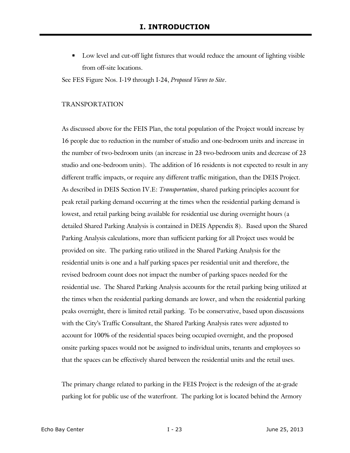Low level and cut-off light fixtures that would reduce the amount of lighting visible from off-site locations.

See FES Figure Nos. I-19 through I-24, *Proposed Views to Site*.

#### TRANSPORTATION

As discussed above for the FEIS Plan, the total population of the Project would increase by 16 people due to reduction in the number of studio and one-bedroom units and increase in the number of two-bedroom units (an increase in 23 two-bedroom units and decrease of 23 studio and one-bedroom units). The addition of 16 residents is not expected to result in any different traffic impacts, or require any different traffic mitigation, than the DEIS Project. As described in DEIS Section IV.E: *Transportation*, shared parking principles account for peak retail parking demand occurring at the times when the residential parking demand is lowest, and retail parking being available for residential use during overnight hours (a detailed Shared Parking Analysis is contained in DEIS Appendix 8). Based upon the Shared Parking Analysis calculations, more than sufficient parking for all Project uses would be provided on site. The parking ratio utilized in the Shared Parking Analysis for the residential units is one and a half parking spaces per residential unit and therefore, the revised bedroom count does not impact the number of parking spaces needed for the residential use. The Shared Parking Analysis accounts for the retail parking being utilized at the times when the residential parking demands are lower, and when the residential parking peaks overnight, there is limited retail parking. To be conservative, based upon discussions with the City's Traffic Consultant, the Shared Parking Analysis rates were adjusted to account for 100% of the residential spaces being occupied overnight, and the proposed onsite parking spaces would not be assigned to individual units, tenants and employees so that the spaces can be effectively shared between the residential units and the retail uses.

The primary change related to parking in the FEIS Project is the redesign of the at-grade parking lot for public use of the waterfront. The parking lot is located behind the Armory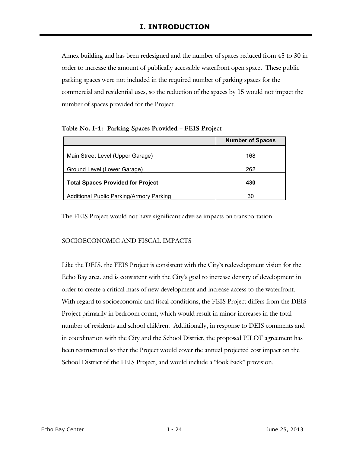Annex building and has been redesigned and the number of spaces reduced from 45 to 30 in order to increase the amount of publically accessible waterfront open space. These public parking spaces were not included in the required number of parking spaces for the commercial and residential uses, so the reduction of the spaces by 15 would not impact the number of spaces provided for the Project.

**Table No. I-4: Parking Spaces Provided – FEIS Project** 

|                                          | <b>Number of Spaces</b> |
|------------------------------------------|-------------------------|
| Main Street Level (Upper Garage)         | 168                     |
| Ground Level (Lower Garage)              | 262                     |
| <b>Total Spaces Provided for Project</b> | 430                     |
| Additional Public Parking/Armory Parking | 30                      |

The FEIS Project would not have significant adverse impacts on transportation.

## SOCIOECONOMIC AND FISCAL IMPACTS

Like the DEIS, the FEIS Project is consistent with the City's redevelopment vision for the Echo Bay area, and is consistent with the City's goal to increase density of development in order to create a critical mass of new development and increase access to the waterfront. With regard to socioeconomic and fiscal conditions, the FEIS Project differs from the DEIS Project primarily in bedroom count, which would result in minor increases in the total number of residents and school children. Additionally, in response to DEIS comments and in coordination with the City and the School District, the proposed PILOT agreement has been restructured so that the Project would cover the annual projected cost impact on the School District of the FEIS Project, and would include a "look back" provision.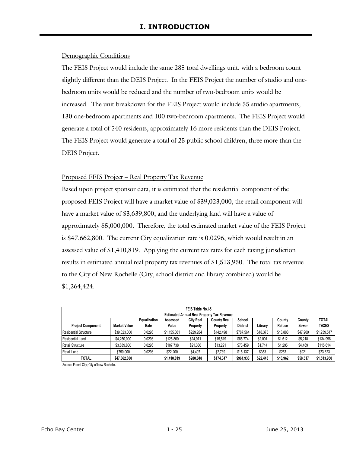#### Demographic Conditions

The FEIS Project would include the same 285 total dwellings unit, with a bedroom count slightly different than the DEIS Project. In the FEIS Project the number of studio and onebedroom units would be reduced and the number of two-bedroom units would be increased. The unit breakdown for the FEIS Project would include 55 studio apartments, 130 one-bedroom apartments and 100 two-bedroom apartments. The FEIS Project would generate a total of 540 residents, approximately 16 more residents than the DEIS Project. The FEIS Project would generate a total of 25 public school children, three more than the DEIS Project.

#### Proposed FEIS Project – Real Property Tax Revenue

Based upon project sponsor data, it is estimated that the residential component of the proposed FEIS Project will have a market value of \$39,023,000, the retail component will have a market value of \$3,639,800, and the underlying land will have a value of approximately \$5,000,000. Therefore, the total estimated market value of the FEIS Project is \$47,662,800. The current City equalization rate is 0.0296, which would result in an assessed value of \$1,410,819. Applying the current tax rates for each taxing jurisdiction results in estimated annual real property tax revenues of \$1,513,950. The total tax revenue to the City of New Rochelle (City, school district and library combined) would be \$1,264,424.

| FEIS Table No.I-5            |              |              |             |                  |                                                   |                 |          |          |          |              |
|------------------------------|--------------|--------------|-------------|------------------|---------------------------------------------------|-----------------|----------|----------|----------|--------------|
|                              |              |              |             |                  | <b>Estimated Annual Real Property Tax Revenue</b> |                 |          |          |          |              |
|                              |              | Equalization | Assessed    | <b>City Real</b> | <b>County Real</b>                                | School          |          | County   | County   | <b>TOTAL</b> |
| <b>Project Component</b>     | Market Value | Rate         | Value       | Property         | Property                                          | <b>District</b> | Library  | Refuse   | Sewer    | TAXES        |
| <b>Residential Structure</b> | \$39.023.000 | 0.0296       | \$1.155.081 | \$229.284        | \$142,498                                         | \$787.564       | \$18,375 | \$13.888 | \$47.909 | \$1,239,517  |
| <b>Residential Land</b>      | \$4,250,000  | 0.0296       | \$125,800   | \$24.971         | \$15,519                                          | \$85,774        | \$2,001  | \$1,512  | \$5,218  | \$134,996    |
| Retail Structure             | \$3.639.800  | 0.0296       | \$107,738   | \$21,386         | \$13,291                                          | \$73,459        | \$1,714  | \$1,295  | \$4,469  | \$115,614    |
| Retail Land                  | \$750,000    | 0.0296       | \$22.200    | \$4,407          | \$2.739                                           | \$15.137        | \$353    | \$267    | \$921    | \$23.823     |
| <b>TOTAL</b>                 | \$47,662,800 |              | \$1,410,819 | \$280,048        | \$174.047                                         | \$961,933       | \$22,443 | \$16,962 | \$58,517 | \$1,513,950  |

Source: Forest City; City of New Rochelle.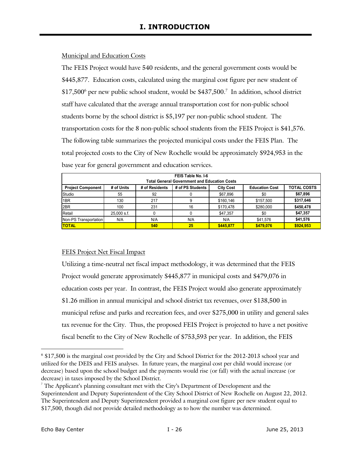#### Municipal and Education Costs

The FEIS Project would have 540 residents, and the general government costs would be \$445,877. Education costs, calculated using the marginal cost figure per new student of \$17,500<sup>6</sup> per new public school student, would be \$437,500.<sup>7</sup> In addition, school district staff have calculated that the average annual transportation cost for non-public school students borne by the school district is \$5,197 per non-public school student. The transportation costs for the 8 non-public school students from the FEIS Project is \$41,576. The following table summarizes the projected municipal costs under the FEIS Plan. The total projected costs to the City of New Rochelle would be approximately \$924,953 in the base year for general government and education services.

| FEIS Table No. I-6<br><b>Total General Government and Education Costs</b> |                                                                                                                     |     |     |           |           |           |  |  |  |  |
|---------------------------------------------------------------------------|---------------------------------------------------------------------------------------------------------------------|-----|-----|-----------|-----------|-----------|--|--|--|--|
| <b>Project Component</b>                                                  | # of Units<br># of Residents<br># of PS Students<br><b>TOTAL COSTS</b><br><b>City Cost</b><br><b>Education Cost</b> |     |     |           |           |           |  |  |  |  |
| Studio                                                                    | 55                                                                                                                  | 92  |     | \$67,896  | \$0       | \$67,896  |  |  |  |  |
| 1BR                                                                       | 130                                                                                                                 | 217 |     | \$160,146 | \$157.500 | \$317,646 |  |  |  |  |
| 2BR                                                                       | 100                                                                                                                 | 231 | 16  | \$170,478 | \$280,000 | \$450,478 |  |  |  |  |
| Retail                                                                    | $25.000$ s.f.                                                                                                       |     |     | \$47,357  | \$0       | \$47,357  |  |  |  |  |
| Non-PS Transportation                                                     | N/A                                                                                                                 | N/A | N/A | N/A       | \$41,576  | \$41,576  |  |  |  |  |
| <b>TOTAL</b>                                                              |                                                                                                                     | 540 | 25  | \$445.877 | \$479.076 | \$924.953 |  |  |  |  |

# FEIS Project Net Fiscal Impact

Utilizing a time-neutral net fiscal impact methodology, it was determined that the FEIS Project would generate approximately \$445,877 in municipal costs and \$479,076 in education costs per year. In contrast, the FEIS Project would also generate approximately \$1.26 million in annual municipal and school district tax revenues, over \$138,500 in municipal refuse and parks and recreation fees, and over \$275,000 in utility and general sales tax revenue for the City. Thus, the proposed FEIS Project is projected to have a net positive fiscal benefit to the City of New Rochelle of \$753,593 per year. In addition, the FEIS

-

<sup>6</sup> \$17,500 is the marginal cost provided by the City and School District for the 2012-2013 school year and utilized for the DEIS and FEIS analyses. In future years, the marginal cost per child would increase (or decrease) based upon the school budget and the payments would rise (or fall) with the actual increase (or decrease) in taxes imposed by the School District.

 $7$  The Applicant's planning consultant met with the City's Department of Development and the Superintendent and Deputy Superintendent of the City School District of New Rochelle on August 22, 2012. The Superintendent and Deputy Superintendent provided a marginal cost figure per new student equal to \$17,500, though did not provide detailed methodology as to how the number was determined.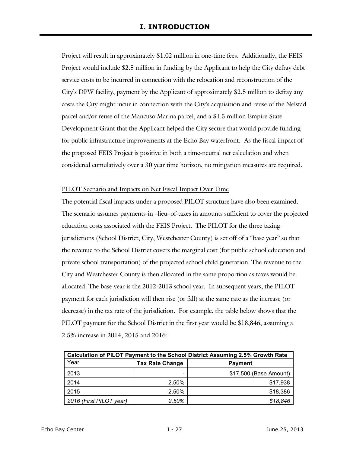Project will result in approximately \$1.02 million in one-time fees. Additionally, the FEIS Project would include \$2.5 million in funding by the Applicant to help the City defray debt service costs to be incurred in connection with the relocation and reconstruction of the City's DPW facility, payment by the Applicant of approximately \$2.5 million to defray any costs the City might incur in connection with the City's acquisition and reuse of the Nelstad parcel and/or reuse of the Mancuso Marina parcel, and a \$1.5 million Empire State Development Grant that the Applicant helped the City secure that would provide funding for public infrastructure improvements at the Echo Bay waterfront. As the fiscal impact of the proposed FEIS Project is positive in both a time-neutral net calculation and when considered cumulatively over a 30 year time horizon, no mitigation measures are required.

#### PILOT Scenario and Impacts on Net Fiscal Impact Over Time

The potential fiscal impacts under a proposed PILOT structure have also been examined. The scenario assumes payments-in –lieu–of-taxes in amounts sufficient to cover the projected education costs associated with the FEIS Project. The PILOT for the three taxing jurisdictions (School District, City, Westchester County) is set off of a "base year" so that the revenue to the School District covers the marginal cost (for public school education and private school transportation) of the projected school child generation. The revenue to the City and Westchester County is then allocated in the same proportion as taxes would be allocated. The base year is the 2012-2013 school year. In subsequent years, the PILOT payment for each jurisdiction will then rise (or fall) at the same rate as the increase (or decrease) in the tax rate of the jurisdiction. For example, the table below shows that the PILOT payment for the School District in the first year would be \$18,846, assuming a 2.5% increase in 2014, 2015 and 2016:

| <b>Calculation of PILOT Payment to the School District Assuming 2.5% Growth Rate</b> |                        |                        |  |  |  |  |  |
|--------------------------------------------------------------------------------------|------------------------|------------------------|--|--|--|--|--|
| Year                                                                                 | <b>Tax Rate Change</b> | <b>Payment</b>         |  |  |  |  |  |
| 2013                                                                                 |                        | \$17,500 (Base Amount) |  |  |  |  |  |
| 2014                                                                                 | 2.50%                  | \$17,938               |  |  |  |  |  |
| 2015                                                                                 | 2.50%                  | \$18,386               |  |  |  |  |  |
| 2016 (First PILOT year)                                                              | 2.50%                  | \$18,846               |  |  |  |  |  |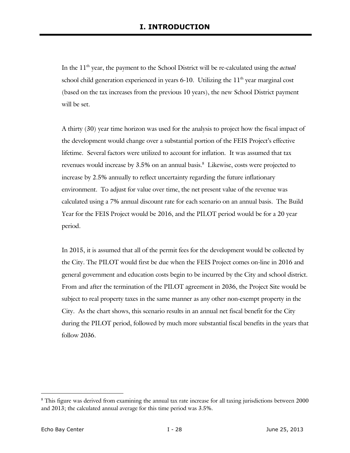In the 11<sup>th</sup> year, the payment to the School District will be re-calculated using the *actual* school child generation experienced in years  $6-10$ . Utilizing the  $11<sup>th</sup>$  year marginal cost (based on the tax increases from the previous 10 years), the new School District payment will be set.

A thirty (30) year time horizon was used for the analysis to project how the fiscal impact of the development would change over a substantial portion of the FEIS Project's effective lifetime. Several factors were utilized to account for inflation. It was assumed that tax revenues would increase by 3.5% on an annual basis.<sup>8</sup> Likewise, costs were projected to increase by 2.5% annually to reflect uncertainty regarding the future inflationary environment. To adjust for value over time, the net present value of the revenue was calculated using a 7% annual discount rate for each scenario on an annual basis. The Build Year for the FEIS Project would be 2016, and the PILOT period would be for a 20 year period.

In 2015, it is assumed that all of the permit fees for the development would be collected by the City. The PILOT would first be due when the FEIS Project comes on-line in 2016 and general government and education costs begin to be incurred by the City and school district. From and after the termination of the PILOT agreement in 2036, the Project Site would be subject to real property taxes in the same manner as any other non-exempt property in the City. As the chart shows, this scenario results in an annual net fiscal benefit for the City during the PILOT period, followed by much more substantial fiscal benefits in the years that follow 2036.

-

<sup>&</sup>lt;sup>8</sup> This figure was derived from examining the annual tax rate increase for all taxing jurisdictions between 2000 and 2013; the calculated annual average for this time period was 3.5%.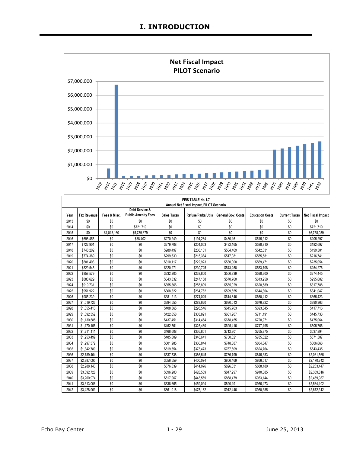

|      | FEIS TABLE No. I-7                       |              |                            |                    |                    |                           |                        |                      |                          |  |  |  |
|------|------------------------------------------|--------------|----------------------------|--------------------|--------------------|---------------------------|------------------------|----------------------|--------------------------|--|--|--|
|      | Annual Net Fiscal Impact, PILOT Scenario |              |                            |                    |                    |                           |                        |                      |                          |  |  |  |
|      |                                          |              | Debt Service &             |                    |                    |                           |                        |                      |                          |  |  |  |
| Year | <b>Tax Revenue</b>                       | Fees & Misc. | <b>Public Amenity Fees</b> | <b>Sales Taxes</b> | Refuse/Parks/Utils | <b>General Gov. Costs</b> | <b>Education Costs</b> | <b>Current Taxes</b> | <b>Net Fiscal Impact</b> |  |  |  |
| 2013 | \$0                                      | \$0          | \$0                        | \$0                | \$0                | \$0                       | \$0                    | \$0                  | \$0                      |  |  |  |
| 2014 | \$0                                      | \$0          | \$721,719                  | \$0                | \$0                | \$0                       | \$0                    | \$0                  | \$721,719                |  |  |  |
| 2015 | \$0                                      | \$1,018,160  | \$5,739,879                | \$0                | \$0                | \$0                       | \$0                    | \$0                  | \$6,758,039              |  |  |  |
| 2016 | \$698,455                                | \$0          | \$38,402                   | \$270,249          | \$194,264          | \$480,161                 | \$515,912              | \$0                  | \$205,297                |  |  |  |
| 2017 | \$722.901                                | \$0          | \$0                        | \$279.708          | \$201,063          | \$492,165                 | \$528,810              | \$0                  | \$182,697                |  |  |  |
| 2018 | \$748.202                                | \$0          | \$0                        | \$289.497          | \$208,101          | \$504,469                 | \$542.031              | \$0                  | \$199.301                |  |  |  |
| 2019 | \$774,389                                | \$0          | \$0                        | \$299,630          | \$215,384          | \$517,081                 | \$555,581              | \$0                  | \$216,741                |  |  |  |
| 2020 | \$801.493                                | \$0          | \$0                        | \$310,117          | \$222.923          | \$530,008                 | \$569.471              | \$0                  | \$235.054                |  |  |  |
| 2021 | \$829,545                                | \$0          | \$0                        | \$320,971          | \$230,725          | \$543,258                 | \$583,708              | \$0                  | \$254,276                |  |  |  |
| 2022 | \$858,579                                | \$0          | \$0                        | \$332.205          | \$238.800          | \$556.839                 | \$598,300              | \$0                  | \$274,445                |  |  |  |
| 2023 | \$888.629                                | \$0          | \$0                        | \$343,832          | \$247,158          | \$570,760                 | \$613,258              | \$0                  | \$295,602                |  |  |  |
| 2024 | \$919.731                                | \$0          | \$0                        | \$355.866          | \$255.809          | \$585.029                 | \$628.589              | \$0                  | \$317.788                |  |  |  |
| 2025 | \$951.922                                | \$0          | \$0                        | \$368.322          | \$264,762          | \$599.655                 | \$644.304              | \$0                  | \$341.047                |  |  |  |
| 2026 | \$985.239                                | \$0          | \$0                        | \$381.213          | \$274,029          | \$614,646                 | \$660,412              | \$0                  | \$365,423                |  |  |  |
| 2027 | \$1.019.723                              | \$0          | \$0                        | \$394.555          | \$283.620          | \$630.013                 | \$676.922              | \$0                  | \$390.963                |  |  |  |
| 2028 | \$1,055,413                              | \$0          | \$0                        | \$408,365          | \$293,546          | \$645,763                 | \$693,845              | \$0                  | \$417,716                |  |  |  |
| 2029 | \$1.092.352                              | \$0          | \$0                        | \$422.658          | \$303.821          | \$661.907                 | \$711,191              | \$0                  | \$445.733                |  |  |  |
| 2030 | \$1,130,585                              | \$0          | \$0                        | \$437,451          | \$314,454          | \$678,455                 | \$728.971              | \$0                  | \$475.064                |  |  |  |
| 2031 | \$1,170,155                              | \$0          | \$0                        | \$452,761          | \$325,460          | \$695,416                 | \$747,195              | \$0                  | \$505,766                |  |  |  |
| 2032 | \$1,211,111                              | \$0          | \$0                        | \$468,608          | \$336.851          | \$712.801                 | \$765.875              | \$0                  | \$537.894                |  |  |  |
| 2033 | \$1,253,499                              | \$0          | \$0                        | \$485,009          | \$348,641          | \$730,621                 | \$785,022              | \$0                  | \$571,507                |  |  |  |
| 2034 | \$1,297,372                              | \$0          | \$0                        | \$501.985          | \$360.844          | \$748,887                 | \$804,647              | \$0                  | \$606,666                |  |  |  |
| 2035 | \$1.342.780                              | \$0          | \$0                        | \$519,554          | \$373,473          | \$767,609                 | \$824,764              | \$0                  | \$643,435                |  |  |  |
| 2036 | \$2.789.464                              | \$0          | \$0                        | \$537.738          | \$386.545          | \$786.799                 | \$845.383              | \$0                  | \$2.081.565              |  |  |  |
| 2037 | \$2,887,095                              | \$0          | \$0                        | \$556,559          | \$400,074          | \$806,469                 | \$866,517              | \$0                  | \$2,170,742              |  |  |  |
| 2038 | \$2.988.143                              | \$0          | \$0                        | \$576.039          | \$414.076          | \$826.631                 | \$888.180              | \$0                  | \$2,263,447              |  |  |  |
| 2039 | \$3,092,728                              | \$0          | \$0                        | \$596,200          | \$428,569          | \$847,297                 | \$910,385              | \$0                  | \$2,359,816              |  |  |  |
| 2040 | \$3,200.974                              | \$0          | \$0                        | \$617.067          | \$443,569          | \$868,479                 | \$933,144              | \$0                  | \$2,459,987              |  |  |  |
| 2041 | \$3,313,008                              | \$0          | \$0                        | \$638,665          | \$459,094          | \$890,191                 | \$956,473              | \$0                  | \$2,564,102              |  |  |  |
| 2042 | \$3.428.963                              | \$0          | \$0                        | \$661.018          | \$475,162          | \$912,446                 | \$980.385              | \$0                  | \$2,672,312              |  |  |  |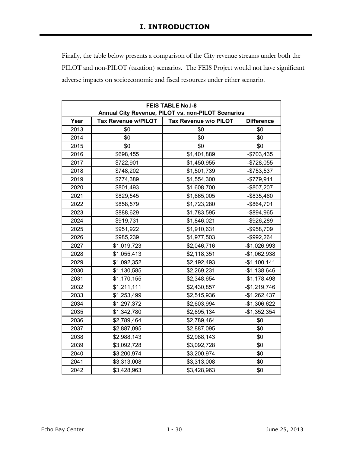Finally, the table below presents a comparison of the City revenue streams under both the PILOT and non-PILOT (taxation) scenarios. The FEIS Project would not have significant adverse impacts on socioeconomic and fiscal resources under either scenario.

| <b>FEIS TABLE No.I-8</b><br>Annual City Revenue, PILOT vs. non-PILOT Scenarios |                            |                       |                   |  |  |  |  |  |  |
|--------------------------------------------------------------------------------|----------------------------|-----------------------|-------------------|--|--|--|--|--|--|
|                                                                                |                            |                       |                   |  |  |  |  |  |  |
| Year                                                                           | <b>Tax Revenue w/PILOT</b> | Tax Revenue w/o PILOT | <b>Difference</b> |  |  |  |  |  |  |
| 2013                                                                           | \$0                        | \$0                   | \$0               |  |  |  |  |  |  |
| 2014                                                                           | \$0                        | \$0                   | \$0               |  |  |  |  |  |  |
| 2015                                                                           | \$0                        | \$0                   | \$0               |  |  |  |  |  |  |
| 2016                                                                           | \$698,455                  | \$1,401,889           | $-$703,435$       |  |  |  |  |  |  |
| 2017                                                                           | \$722,901                  | \$1,450,955           | $-$728,055$       |  |  |  |  |  |  |
| 2018                                                                           | \$748,202                  | \$1,501,739           | $-$753,537$       |  |  |  |  |  |  |
| 2019                                                                           | \$774,389                  | \$1,554,300           | $-$779,911$       |  |  |  |  |  |  |
| 2020                                                                           | \$801,493                  | \$1,608,700           | -\$807,207        |  |  |  |  |  |  |
| 2021                                                                           | \$829,545                  | \$1,665,005           | -\$835,460        |  |  |  |  |  |  |
| 2022                                                                           | \$858,579                  | \$1,723,280           | $-$ \$864,701     |  |  |  |  |  |  |
| 2023                                                                           | \$888,629                  | \$1,783,595           | -\$894,965        |  |  |  |  |  |  |
| 2024                                                                           | \$919,731                  | \$1,846,021           | -\$926,289        |  |  |  |  |  |  |
| 2025                                                                           | \$951,922                  | \$1,910,631           | -\$958,709        |  |  |  |  |  |  |
| 2026                                                                           | \$985,239                  | \$1,977,503           | $-$ \$992,264     |  |  |  |  |  |  |
| 2027                                                                           | \$1,019,723                | \$2,046,716           | -\$1,026,993      |  |  |  |  |  |  |
| 2028                                                                           | \$1,055,413                | \$2,118,351           | -\$1,062,938      |  |  |  |  |  |  |
| 2029                                                                           | \$1,092,352                | \$2,192,493           | $-$1,100,141$     |  |  |  |  |  |  |
| 2030                                                                           | \$1,130,585                | \$2,269,231           | $-$1,138,646$     |  |  |  |  |  |  |
| 2031                                                                           | \$1,170,155                | \$2,348,654           | $-$1,178,498$     |  |  |  |  |  |  |
| 2032                                                                           | \$1,211,111                | \$2,430,857           | $-$1,219,746$     |  |  |  |  |  |  |
| 2033                                                                           | \$1,253,499                | \$2,515,936           | $-$1,262,437$     |  |  |  |  |  |  |
| 2034                                                                           | \$1,297,372                | \$2,603,994           | -\$1,306,622      |  |  |  |  |  |  |
| 2035                                                                           | \$1,342,780                | \$2,695,134           | $-$1,352,354$     |  |  |  |  |  |  |
| 2036                                                                           | \$2,789,464                | \$2,789,464           | \$0               |  |  |  |  |  |  |
| 2037                                                                           | \$2,887,095                | \$2,887,095           | \$0               |  |  |  |  |  |  |
| 2038                                                                           | \$2,988,143                | \$2,988,143           | \$0               |  |  |  |  |  |  |
| 2039                                                                           | \$3,092,728                | \$3,092,728           | \$0               |  |  |  |  |  |  |
| 2040                                                                           | \$3,200,974                | \$3,200,974           | \$0               |  |  |  |  |  |  |
| 2041                                                                           | \$3,313,008                | \$3,313,008           | \$0               |  |  |  |  |  |  |
| 2042                                                                           | \$3,428,963                | \$3,428,963           | \$0               |  |  |  |  |  |  |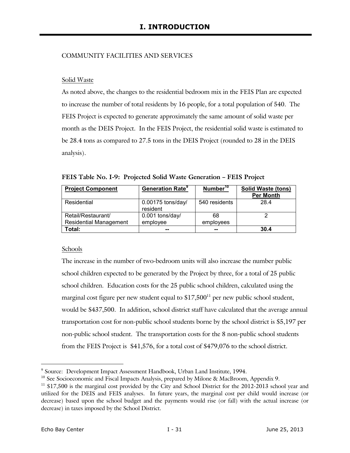#### COMMUNITY FACILITIES AND SERVICES

#### Solid Waste

As noted above, the changes to the residential bedroom mix in the FEIS Plan are expected to increase the number of total residents by 16 people, for a total population of 540. The FEIS Project is expected to generate approximately the same amount of solid waste per month as the DEIS Project. In the FEIS Project, the residential solid waste is estimated to be 28.4 tons as compared to 27.5 tons in the DEIS Project (rounded to 28 in the DEIS analysis).

| <b>Project Component</b>      | <b>Generation Rate<sup>9</sup></b> | Number <sup>10</sup> | <b>Solid Waste (tons)</b> |
|-------------------------------|------------------------------------|----------------------|---------------------------|
|                               |                                    |                      | <b>Per Month</b>          |
| Residential                   | $0.00175$ tons/day/                | 540 residents        | 28.4                      |
|                               | resident                           |                      |                           |
| Retail/Restaurant/            | 0.001 tons/day/                    | 68                   |                           |
| <b>Residential Management</b> | employee                           | employees            |                           |
| Total:                        | --                                 | --                   | 30.4                      |

**FEIS Table No. I-9: Projected Solid Waste Generation – FEIS Project** 

#### Schools

The increase in the number of two-bedroom units will also increase the number public school children expected to be generated by the Project by three, for a total of 25 public school children. Education costs for the 25 public school children, calculated using the marginal cost figure per new student equal to  $$17,500<sup>11</sup>$  per new public school student, would be \$437,500. In addition, school district staff have calculated that the average annual transportation cost for non-public school students borne by the school district is \$5,197 per non-public school student. The transportation costs for the 8 non-public school students from the FEIS Project is \$41,576, for a total cost of \$479,076 to the school district.

j 9 Source: Development Impact Assessment Handbook, Urban Land Institute, 1994.

<sup>&</sup>lt;sup>10</sup> See Socioeconomic and Fiscal Impacts Analysis, prepared by Milone & MacBroom, Appendix 9.

<sup>&</sup>lt;sup>11</sup> \$17,500 is the marginal cost provided by the City and School District for the 2012-2013 school year and utilized for the DEIS and FEIS analyses. In future years, the marginal cost per child would increase (or decrease) based upon the school budget and the payments would rise (or fall) with the actual increase (or decrease) in taxes imposed by the School District.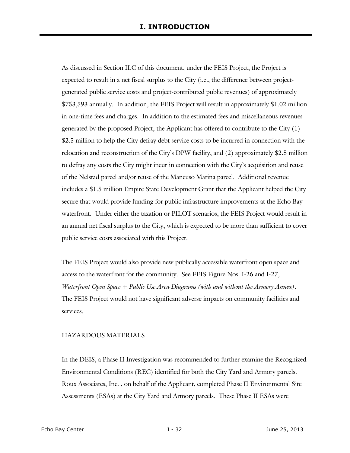As discussed in Section II.C of this document, under the FEIS Project, the Project is expected to result in a net fiscal surplus to the City (i.e., the difference between projectgenerated public service costs and project-contributed public revenues) of approximately \$753,593 annually. In addition, the FEIS Project will result in approximately \$1.02 million in one-time fees and charges. In addition to the estimated fees and miscellaneous revenues generated by the proposed Project, the Applicant has offered to contribute to the City (1) \$2.5 million to help the City defray debt service costs to be incurred in connection with the relocation and reconstruction of the City's DPW facility, and (2) approximately \$2.5 million to defray any costs the City might incur in connection with the City's acquisition and reuse of the Nelstad parcel and/or reuse of the Mancuso Marina parcel. Additional revenue includes a \$1.5 million Empire State Development Grant that the Applicant helped the City secure that would provide funding for public infrastructure improvements at the Echo Bay waterfront. Under either the taxation or PILOT scenarios, the FEIS Project would result in an annual net fiscal surplus to the City, which is expected to be more than sufficient to cover public service costs associated with this Project.

The FEIS Project would also provide new publically accessible waterfront open space and access to the waterfront for the community. See FEIS Figure Nos. I-26 and I-27, *Waterfront Open Space + Public Use Area Diagrams (with and without the Armory Annex)*. The FEIS Project would not have significant adverse impacts on community facilities and services.

#### HAZARDOUS MATERIALS

In the DEIS, a Phase II Investigation was recommended to further examine the Recognized Environmental Conditions (REC) identified for both the City Yard and Armory parcels. Roux Associates, Inc. , on behalf of the Applicant, completed Phase II Environmental Site Assessments (ESAs) at the City Yard and Armory parcels. These Phase II ESAs were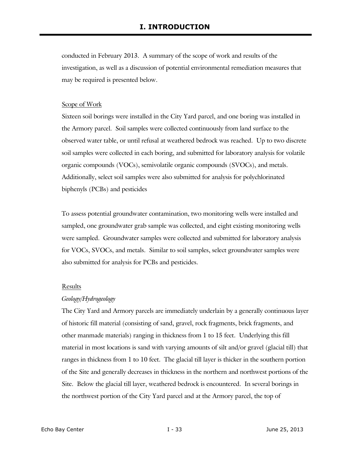conducted in February 2013. A summary of the scope of work and results of the investigation, as well as a discussion of potential environmental remediation measures that may be required is presented below.

#### Scope of Work

Sixteen soil borings were installed in the City Yard parcel, and one boring was installed in the Armory parcel. Soil samples were collected continuously from land surface to the observed water table, or until refusal at weathered bedrock was reached. Up to two discrete soil samples were collected in each boring, and submitted for laboratory analysis for volatile organic compounds (VOCs), semivolatile organic compounds (SVOCs), and metals. Additionally, select soil samples were also submitted for analysis for polychlorinated biphenyls (PCBs) and pesticides

To assess potential groundwater contamination, two monitoring wells were installed and sampled, one groundwater grab sample was collected, and eight existing monitoring wells were sampled. Groundwater samples were collected and submitted for laboratory analysis for VOCs, SVOCs, and metals. Similar to soil samples, select groundwater samples were also submitted for analysis for PCBs and pesticides.

#### Results

#### *Geology/Hydrogeology*

The City Yard and Armory parcels are immediately underlain by a generally continuous layer of historic fill material (consisting of sand, gravel, rock fragments, brick fragments, and other manmade materials) ranging in thickness from 1 to 15 feet. Underlying this fill material in most locations is sand with varying amounts of silt and/or gravel (glacial till) that ranges in thickness from 1 to 10 feet. The glacial till layer is thicker in the southern portion of the Site and generally decreases in thickness in the northern and northwest portions of the Site. Below the glacial till layer, weathered bedrock is encountered. In several borings in the northwest portion of the City Yard parcel and at the Armory parcel, the top of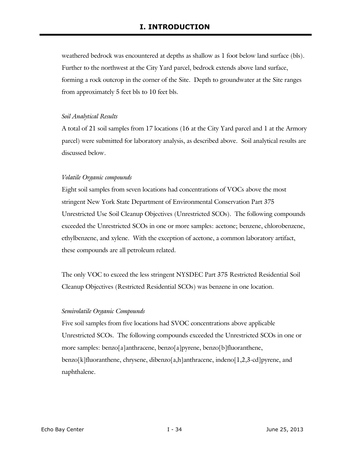weathered bedrock was encountered at depths as shallow as 1 foot below land surface (bls). Further to the northwest at the City Yard parcel, bedrock extends above land surface, forming a rock outcrop in the corner of the Site. Depth to groundwater at the Site ranges from approximately 5 feet bls to 10 feet bls.

#### *Soil Analytical Results*

A total of 21 soil samples from 17 locations (16 at the City Yard parcel and 1 at the Armory parcel) were submitted for laboratory analysis, as described above. Soil analytical results are discussed below.

#### *Volatile Organic compounds*

Eight soil samples from seven locations had concentrations of VOCs above the most stringent New York State Department of Environmental Conservation Part 375 Unrestricted Use Soil Cleanup Objectives (Unrestricted SCOs). The following compounds exceeded the Unrestricted SCOs in one or more samples: acetone; benzene, chlorobenzene, ethylbenzene, and xylene. With the exception of acetone, a common laboratory artifact, these compounds are all petroleum related.

The only VOC to exceed the less stringent NYSDEC Part 375 Restricted Residential Soil Cleanup Objectives (Restricted Residential SCOs) was benzene in one location.

#### *Semivolatile Organic Compounds*

Five soil samples from five locations had SVOC concentrations above applicable Unrestricted SCOs. The following compounds exceeded the Unrestricted SCOs in one or more samples: benzo[a]anthracene, benzo[a]pyrene, benzo[b]fluoranthene, benzo[k]fluoranthene, chrysene, dibenzo[a,h]anthracene, indeno[1,2,3-cd]pyrene, and naphthalene.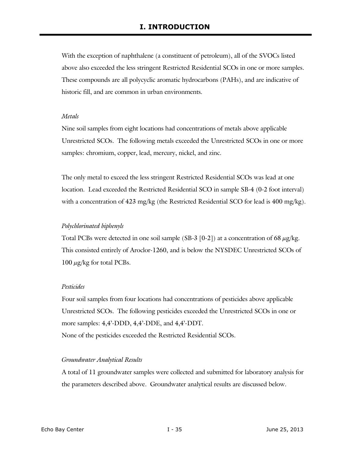With the exception of naphthalene (a constituent of petroleum), all of the SVOCs listed above also exceeded the less stringent Restricted Residential SCOs in one or more samples. These compounds are all polycyclic aromatic hydrocarbons (PAHs), and are indicative of historic fill, and are common in urban environments.

#### *Metals*

Nine soil samples from eight locations had concentrations of metals above applicable Unrestricted SCOs. The following metals exceeded the Unrestricted SCOs in one or more samples: chromium, copper, lead, mercury, nickel, and zinc.

The only metal to exceed the less stringent Restricted Residential SCOs was lead at one location. Lead exceeded the Restricted Residential SCO in sample SB-4 (0-2 foot interval) with a concentration of 423 mg/kg (the Restricted Residential SCO for lead is 400 mg/kg).

#### *Polychlorinated biphenyls*

Total PCBs were detected in one soil sample (SB-3 [0-2]) at a concentration of 68  $\mu$ g/kg. This consisted entirely of Aroclor-1260, and is below the NYSDEC Unrestricted SCOs of 100  $\mu$ g/kg for total PCBs.

#### *Pesticides*

Four soil samples from four locations had concentrations of pesticides above applicable Unrestricted SCOs. The following pesticides exceeded the Unrestricted SCOs in one or more samples: 4,4'-DDD, 4,4'-DDE, and 4,4'-DDT. None of the pesticides exceeded the Restricted Residential SCOs.

#### *Groundwater Analytical Results*

A total of 11 groundwater samples were collected and submitted for laboratory analysis for the parameters described above. Groundwater analytical results are discussed below.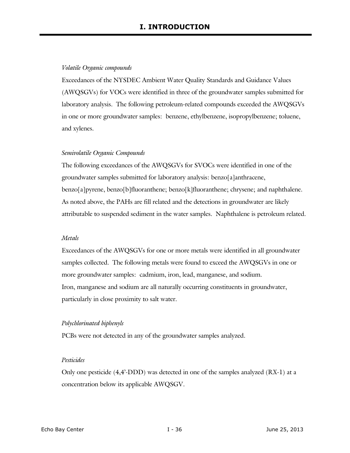#### *Volatile Organic compounds*

Exceedances of the NYSDEC Ambient Water Quality Standards and Guidance Values (AWQSGVs) for VOCs were identified in three of the groundwater samples submitted for laboratory analysis. The following petroleum-related compounds exceeded the AWQSGVs in one or more groundwater samples: benzene, ethylbenzene, isopropylbenzene; toluene, and xylenes.

#### *Semivolatile Organic Compounds*

The following exceedances of the AWQSGVs for SVOCs were identified in one of the groundwater samples submitted for laboratory analysis: benzo[a]anthracene, benzo[a]pyrene, benzo[b]fluoranthene; benzo[k]fluoranthene; chrysene; and naphthalene. As noted above, the PAHs are fill related and the detections in groundwater are likely attributable to suspended sediment in the water samples. Naphthalene is petroleum related.

#### *Metals*

Exceedances of the AWQSGVs for one or more metals were identified in all groundwater samples collected. The following metals were found to exceed the AWQSGVs in one or more groundwater samples: cadmium, iron, lead, manganese, and sodium. Iron, manganese and sodium are all naturally occurring constituents in groundwater, particularly in close proximity to salt water.

#### *Polychlorinated biphenyls*

PCBs were not detected in any of the groundwater samples analyzed.

#### *Pesticides*

Only one pesticide (4,4'-DDD) was detected in one of the samples analyzed (RX-1) at a concentration below its applicable AWQSGV.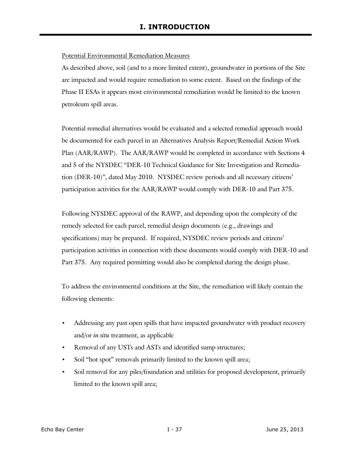#### Potential Environmental Remediation Measures

As described above, soil (and to a more limited extent), groundwater in portions of the Site are impacted and would require remediation to some extent. Based on the findings of the Phase II ESAs it appears most environmental remediation would be limited to the known petroleum spill areas.

Potential remedial alternatives would be evaluated and a selected remedial approach would be documented for each parcel in an Alternatives Analysis Report/Remedial Action Work Plan (AAR/RAWP). The AAR/RAWP would be completed in accordance with Sections 4 and 5 of the NYSDEC "DER-10 Technical Guidance for Site Investigation and Remediation (DER-10)", dated May 2010. NYSDEC review periods and all necessary citizens' participation activities for the AAR/RAWP would comply with DER-10 and Part 375.

Following NYSDEC approval of the RAWP, and depending upon the complexity of the remedy selected for each parcel, remedial design documents (e.g., drawings and specifications) may be prepared. If required, NYSDEC review periods and citizens' participation activities in connection with these documents would comply with DER-10 and Part 375. Any required permitting would also be completed during the design phase.

To address the environmental conditions at the Site, the remediation will likely contain the following elements:

- Addressing any past open spills that have impacted groundwater with product recovery and/or *in situ* treatment, as applicable
- Removal of any USTs and ASTs and identified sump structures;
- Soil "hot spot" removals primarily limited to the known spill area;
- Soil removal for any piles/foundation and utilities for proposed development, primarily limited to the known spill area;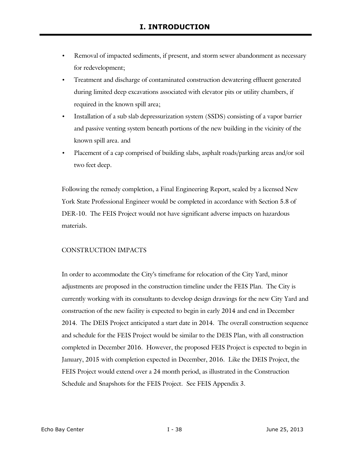- Removal of impacted sediments, if present, and storm sewer abandonment as necessary for redevelopment;
- Treatment and discharge of contaminated construction dewatering effluent generated during limited deep excavations associated with elevator pits or utility chambers, if required in the known spill area;
- Installation of a sub slab depressurization system (SSDS) consisting of a vapor barrier and passive venting system beneath portions of the new building in the vicinity of the known spill area. and
- Placement of a cap comprised of building slabs, asphalt roads/parking areas and/or soil two feet deep.

Following the remedy completion, a Final Engineering Report, sealed by a licensed New York State Professional Engineer would be completed in accordance with Section 5.8 of DER-10. The FEIS Project would not have significant adverse impacts on hazardous materials.

## CONSTRUCTION IMPACTS

In order to accommodate the City's timeframe for relocation of the City Yard, minor adjustments are proposed in the construction timeline under the FEIS Plan. The City is currently working with its consultants to develop design drawings for the new City Yard and construction of the new facility is expected to begin in early 2014 and end in December 2014. The DEIS Project anticipated a start date in 2014. The overall construction sequence and schedule for the FEIS Project would be similar to the DEIS Plan, with all construction completed in December 2016. However, the proposed FEIS Project is expected to begin in January, 2015 with completion expected in December, 2016. Like the DEIS Project, the FEIS Project would extend over a 24 month period, as illustrated in the Construction Schedule and Snapshots for the FEIS Project. See FEIS Appendix 3.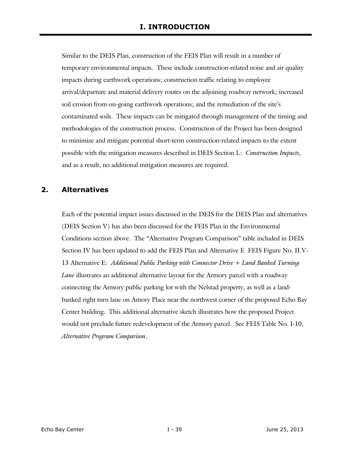Similar to the DEIS Plan, construction of the FEIS Plan will result in a number of temporary environmental impacts. These include construction-related noise and air quality impacts during earthwork operations; construction traffic relating to employee arrival/departure and material delivery routes on the adjoining roadway network; increased soil erosion from on-going earthwork operations; and the remediation of the site's contaminated soils. These impacts can be mitigated through management of the timing and methodologies of the construction process. Construction of the Project has been designed to minimize and mitigate potential short-term construction-related impacts to the extent possible with the mitigation measures described in DEIS Section L: *Construction Impacts*, and as a result, no additional mitigation measures are required.

# **2. Alternatives**

Each of the potential impact issues discussed in the DEIS for the DEIS Plan and alternatives (DEIS Section V) has also been discussed for the FEIS Plan in the Environmental Conditions section above. The "Alternative Program Comparison" table included in DEIS Section IV has been updated to add the FEIS Plan and Alternative E FEIS Figure No. II.V-13 Alternative E: *Additional Public Parking with Connector Drive + Land Banked Turning Lane* illustrates an additional alternative layout for the Armory parcel with a roadway connecting the Armory public parking lot with the Nelstad property, as well as a landbanked right turn lane on Amory Place near the northwest corner of the proposed Echo Bay Center building. This additional alternative sketch illustrates how the proposed Project would not preclude future redevelopment of the Armory parcel. See FEIS Table No. I-10, *Alternative Program Comparison*.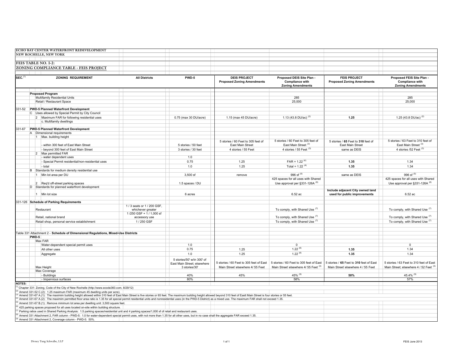|                       | ECHO BAY CENTER WATERFRONT REDEVELOPMENT                                                                                                                                                                                     |                         |                             |                                                          |                                                                                 |                                                          |                                                                                 |
|-----------------------|------------------------------------------------------------------------------------------------------------------------------------------------------------------------------------------------------------------------------|-------------------------|-----------------------------|----------------------------------------------------------|---------------------------------------------------------------------------------|----------------------------------------------------------|---------------------------------------------------------------------------------|
|                       | NEW ROCHELLE, NEW YORK                                                                                                                                                                                                       |                         |                             |                                                          |                                                                                 |                                                          |                                                                                 |
|                       |                                                                                                                                                                                                                              |                         |                             |                                                          |                                                                                 |                                                          |                                                                                 |
|                       | FEIS TABLE NO. I-2:                                                                                                                                                                                                          |                         |                             |                                                          |                                                                                 |                                                          |                                                                                 |
|                       |                                                                                                                                                                                                                              |                         |                             |                                                          |                                                                                 |                                                          |                                                                                 |
|                       | ZONING COMPLIANCE TABLE - FEIS PROJECT                                                                                                                                                                                       |                         |                             |                                                          |                                                                                 |                                                          |                                                                                 |
|                       |                                                                                                                                                                                                                              |                         |                             |                                                          |                                                                                 |                                                          |                                                                                 |
| $SEC.$ <sup>(1)</sup> | ZONING REQUIREMENT                                                                                                                                                                                                           | <b>All Districts</b>    | PWD-5                       | <b>DEIS PROJECT</b><br><b>Proposed Zoning Amendments</b> | Proposed DEIS Site Plan -<br><b>Compliance with</b><br><b>Zoning Amendments</b> | <b>FEIS PROJECT</b><br><b>Proposed Zoning Amendments</b> | Proposed FEIS Site Plan -<br><b>Compliance with</b><br><b>Zoning Amendments</b> |
|                       |                                                                                                                                                                                                                              |                         |                             |                                                          |                                                                                 |                                                          |                                                                                 |
|                       |                                                                                                                                                                                                                              |                         |                             |                                                          |                                                                                 |                                                          |                                                                                 |
|                       | <b>Proposed Program</b>                                                                                                                                                                                                      |                         |                             |                                                          |                                                                                 |                                                          |                                                                                 |
|                       | Multifamily Residential Units                                                                                                                                                                                                |                         |                             |                                                          | 285                                                                             |                                                          | 285                                                                             |
|                       | Retail / Restaurant Space                                                                                                                                                                                                    |                         |                             |                                                          | 25,000                                                                          |                                                          | 25,000                                                                          |
|                       |                                                                                                                                                                                                                              |                         |                             |                                                          |                                                                                 |                                                          |                                                                                 |
|                       | 331-52 PWD-5 Planned Waterfront Development                                                                                                                                                                                  |                         |                             |                                                          |                                                                                 |                                                          |                                                                                 |
|                       | C Uses allowed by Special Permit by City Council                                                                                                                                                                             |                         |                             |                                                          |                                                                                 |                                                          |                                                                                 |
|                       | 2 Maximum FAR for following residential uses                                                                                                                                                                                 |                         | 0.75 (max 30 DU/acre)       | 1.15 (max 45 DU/acre)                                    | 1.13 (43.8 DU/ac) $(2)$                                                         | 1.25                                                     | 1.25 (43.8 DU/ac) <sup>(2)</sup>                                                |
|                       | c. Multifamily dwellings                                                                                                                                                                                                     |                         |                             |                                                          |                                                                                 |                                                          |                                                                                 |
|                       |                                                                                                                                                                                                                              |                         |                             |                                                          |                                                                                 |                                                          |                                                                                 |
|                       | 331-67 PWD-5 Planned Waterfront Development                                                                                                                                                                                  |                         |                             |                                                          |                                                                                 |                                                          |                                                                                 |
|                       | A Dimensional requirements                                                                                                                                                                                                   |                         |                             |                                                          |                                                                                 |                                                          |                                                                                 |
|                       | 1 Max. building height                                                                                                                                                                                                       |                         |                             |                                                          |                                                                                 |                                                          |                                                                                 |
|                       |                                                                                                                                                                                                                              |                         |                             | 5 stories / 60 Feet to 305 feet of                       | 5 stories / 60 Feet to 305 feet of                                              | 5 stories / 65 Feet to 310 feet of                       | 5 stories / 63 Feet to 310 feet of                                              |
|                       | - within 300 feet of East Main Street                                                                                                                                                                                        |                         | 5 stories / 50 feet         | East Main Street                                         | East Main Street <sup>(3)</sup>                                                 | East Main Street                                         | East Main Street <sup>(3)</sup>                                                 |
|                       | - beyond 300 feet of East Main Street                                                                                                                                                                                        |                         | 3 stories / 30 feet         | 4 stories / 55 Feet                                      | 4 stories / 55 Feet (3)                                                         | same as DEIS                                             | 4 stories /52 Feet (3)                                                          |
|                       |                                                                                                                                                                                                                              |                         |                             |                                                          |                                                                                 |                                                          |                                                                                 |
|                       | 2 Max permitted FAR                                                                                                                                                                                                          |                         |                             |                                                          |                                                                                 |                                                          |                                                                                 |
|                       | - water dependent uses                                                                                                                                                                                                       |                         | 1.0                         |                                                          |                                                                                 |                                                          |                                                                                 |
|                       | - Special Permit residential/non-residential uses                                                                                                                                                                            |                         | 0.75                        | 1.25                                                     | $FAR = 1.22^{(4)}$                                                              | 1.35                                                     | 1.34                                                                            |
|                       | - total                                                                                                                                                                                                                      |                         | 1.0                         | 1.25                                                     | Total = $1.22^{(4)}$                                                            | 1.35                                                     | 1.34                                                                            |
|                       | B Standards for medium density residential use                                                                                                                                                                               |                         |                             |                                                          |                                                                                 |                                                          |                                                                                 |
|                       | 1 Min lot area per DU                                                                                                                                                                                                        |                         | 3,500 sf                    | remove                                                   | 996 sf $(5)$                                                                    | same as DEIS                                             | 996 sf $(5)$                                                                    |
|                       |                                                                                                                                                                                                                              |                         |                             |                                                          | 425 spaces for all uses with Shared                                             |                                                          | 425 spaces for all uses with Shared                                             |
|                       |                                                                                                                                                                                                                              |                         |                             |                                                          |                                                                                 |                                                          | Use approval per §331-126A (6)                                                  |
|                       | 2 Req'd off-street parking spaces                                                                                                                                                                                            |                         | 1.5 spaces / DU             |                                                          | Use approval per §331-126A (6)                                                  |                                                          |                                                                                 |
|                       | D Standards for planned waterfront development                                                                                                                                                                               |                         |                             |                                                          |                                                                                 | Include adjacent City owned land                         |                                                                                 |
|                       | 1 Min lot size                                                                                                                                                                                                               |                         | 6 acres                     |                                                          | 6.52 ac                                                                         | used for public improvements                             | 6.52 ac                                                                         |
|                       |                                                                                                                                                                                                                              |                         |                             |                                                          |                                                                                 |                                                          |                                                                                 |
|                       | 331-126 Schedule of Parking Requirements                                                                                                                                                                                     |                         |                             |                                                          |                                                                                 |                                                          |                                                                                 |
|                       |                                                                                                                                                                                                                              | 1/3 seats or 1/200 GSF, |                             |                                                          |                                                                                 |                                                          |                                                                                 |
|                       | Restaurant                                                                                                                                                                                                                   | whichever greater       |                             |                                                          | To comply, with Shared Use (7)                                                  |                                                          | To comply, with Shared Use (7)                                                  |
|                       |                                                                                                                                                                                                                              | 1/250 GSF + 1/1,000 sf  |                             |                                                          |                                                                                 |                                                          |                                                                                 |
|                       | Retail, national brand                                                                                                                                                                                                       | accessory use           |                             |                                                          | To comply, with Shared Use (7)                                                  |                                                          | To comply, with Shared Use (7)                                                  |
|                       | Retail shop, personal service establishment                                                                                                                                                                                  | 1/250 GSF               |                             |                                                          | To comply, with Shared Use (7)                                                  |                                                          | To comply, with Shared Use (7)                                                  |
|                       |                                                                                                                                                                                                                              |                         |                             |                                                          |                                                                                 |                                                          |                                                                                 |
|                       |                                                                                                                                                                                                                              |                         |                             |                                                          |                                                                                 |                                                          |                                                                                 |
|                       | Table 331 Attachment 2 - Schedule of Dimensional Regulations, Mixed-Use Districts                                                                                                                                            |                         |                             |                                                          |                                                                                 |                                                          |                                                                                 |
|                       | PWD-5                                                                                                                                                                                                                        |                         |                             |                                                          |                                                                                 |                                                          |                                                                                 |
|                       | Max FAR                                                                                                                                                                                                                      |                         |                             |                                                          |                                                                                 |                                                          |                                                                                 |
|                       | Water-dependent special permit uses                                                                                                                                                                                          |                         | 1.0                         |                                                          | $\Omega$                                                                        |                                                          | $\Omega$                                                                        |
|                       | All other uses                                                                                                                                                                                                               |                         | 0.75                        | 1.25                                                     | $1.22^{(8)}$                                                                    | 1.35                                                     | 1.34                                                                            |
|                       |                                                                                                                                                                                                                              |                         |                             |                                                          |                                                                                 |                                                          |                                                                                 |
|                       | Aggregate                                                                                                                                                                                                                    |                         | 1.0                         | 1.25                                                     | $1.22^{(8)}$                                                                    | 1.35                                                     | 1.34                                                                            |
|                       |                                                                                                                                                                                                                              |                         | 5 stories/50' w/in 300' of  |                                                          |                                                                                 |                                                          |                                                                                 |
|                       |                                                                                                                                                                                                                              |                         | East Main Street; elsewhere | 5 stories / 60 Feet to 305 feet of East                  | 5 stories / 60 Feet to 305 feet of East                                         | 5 stories / 65 Feet to 310 feet of East                  | 5 stories / 63 Feet to 310 feet of East                                         |
|                       | Max Height                                                                                                                                                                                                                   |                         | 3 stories/30'               | Main Street elsewhere 4/ 55 Feet                         | Main Street elsewhere 4/ 55 Feet (3)                                            | Main Street elsewhere 4 / 55 Feet                        | Main Street; elsewhere 4 / 52 Feet (3)                                          |
|                       | Max Coverage                                                                                                                                                                                                                 |                         |                             |                                                          |                                                                                 |                                                          |                                                                                 |
|                       | - Buildinas                                                                                                                                                                                                                  |                         | 40%                         | 45%                                                      | 45% $(9)$                                                                       | 50%                                                      | 45.4% (9)                                                                       |
|                       | - Impervious surfaces                                                                                                                                                                                                        |                         | 80%                         |                                                          | 58%                                                                             |                                                          | 57%                                                                             |
|                       |                                                                                                                                                                                                                              |                         |                             |                                                          |                                                                                 |                                                          |                                                                                 |
| <b>NOTES:</b>         |                                                                                                                                                                                                                              |                         |                             |                                                          |                                                                                 |                                                          |                                                                                 |
|                       | Chapter 331: Zoning, Code of the City of New Rochelle (http://www.ecode360.com, 8/29/12)                                                                                                                                     |                         |                             |                                                          |                                                                                 |                                                          |                                                                                 |
|                       | Amend 331-52 C.(2): 1.25 maximum FAR (maximum 45 dwelling units per acre).                                                                                                                                                   |                         |                             |                                                          |                                                                                 |                                                          |                                                                                 |
|                       | Amend 331-67 A.(1): The maximim building height allowed within 310 feet of East Main Street is five stories or 65 feet. The maximum building height allowed beyond 310 feet of Eastt Main Street is four stories or 55 feet. |                         |                             |                                                          |                                                                                 |                                                          |                                                                                 |
|                       | Amend 331-67 A.(2): The maximim permitted floor area ratio is 1.35 for all special permit residential units and nonresidential uses (in the PWD-5 District) as a mixed use. The maximum FAR shall not exceed 1.35.           |                         |                             |                                                          |                                                                                 |                                                          |                                                                                 |
|                       | Amend 331-67 B.(1): Remove minimum lot area per dwelling unit: 3,500 square feet                                                                                                                                             |                         |                             |                                                          |                                                                                 |                                                          |                                                                                 |
|                       | 425 parking spaces proposed for all uses located on-site within building structure.                                                                                                                                          |                         |                             |                                                          |                                                                                 |                                                          |                                                                                 |
|                       | Parking ratios used in Shared Parking Analysis: 1.5 parking spaces/residential unit and 4 parking spaces/1,000 sf of retail and restaurant uses.                                                                             |                         |                             |                                                          |                                                                                 |                                                          |                                                                                 |
|                       | Amend 331 Attachment 2, FAR column - PWD-5: 1.0 for water-dependent special permit uses, with not more than 1.35 for all other uses, but in no case shall the aggregate FAR exceed 1.35.                                     |                         |                             |                                                          |                                                                                 |                                                          |                                                                                 |
|                       | Amend 331 Attachment 2. Coverage column - PWD-5: 50%.                                                                                                                                                                        |                         |                             |                                                          |                                                                                 |                                                          |                                                                                 |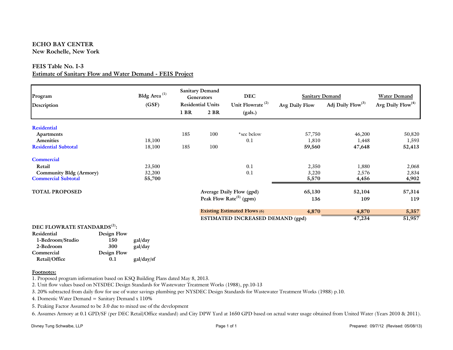#### **ECHO BAY CENTERNew Rochelle, New York**

#### **FEIS Table No. I-3**

#### **Estimate of Sanitary Flow and Water Demand - FEIS Project**

| Program                                 | Bldg Area <sup>(1)</sup><br>(GSF) | <b>Sanitary Demand</b><br><b>Generators</b><br><b>Residential Units</b> |      | <b>DEC</b><br>Unit Flowrate <sup>(2)</sup> | <b>Sanitary Demand</b><br>Avg Daily Flow | <b>Water Demand</b><br>Avg Daily $Flow(4)$ |        |
|-----------------------------------------|-----------------------------------|-------------------------------------------------------------------------|------|--------------------------------------------|------------------------------------------|--------------------------------------------|--------|
| Description                             |                                   | 1 BR                                                                    | 2 BR | (gals.)                                    |                                          | Adj Daily Flow <sup>(3)</sup>              |        |
| <b>Residential</b>                      |                                   |                                                                         |      |                                            |                                          |                                            |        |
| <b>Apartments</b>                       |                                   | 185                                                                     | 100  | *see below                                 | 57,750                                   | 46,200                                     | 50,820 |
| <b>Amenities</b>                        | 18,100                            |                                                                         |      | 0.1                                        | 1,810                                    | 1,448                                      | 1,593  |
| <b>Residential Subtotal</b>             | 18,100                            | 185                                                                     | 100  |                                            | 59,560                                   | 47,648                                     | 52,413 |
| <b>Commercial</b>                       |                                   |                                                                         |      |                                            |                                          |                                            |        |
| Retail                                  | 23,500                            |                                                                         |      | 0.1                                        | 2,350                                    | 1,880                                      | 2,068  |
| Community Bldg (Armory)                 | 32,200                            |                                                                         |      | 0.1                                        | 3,220                                    | 2,576                                      | 2,834  |
| <b>Commercial Subtotal</b>              | 55,700                            |                                                                         |      |                                            | 5,570                                    | 4,456                                      | 4,902  |
| <b>TOTAL PROPOSED</b>                   |                                   |                                                                         |      | Average Daily Flow (gpd)                   | 65,130                                   | 52,104                                     | 57,314 |
|                                         |                                   |                                                                         |      | Peak Flow Rate <sup>(5)</sup> (gpm)        | 136                                      | 109                                        | 119    |
|                                         |                                   |                                                                         |      | <b>Existing Estimated Flows (6)</b>        | 4,870                                    | 4,870                                      | 5,357  |
|                                         |                                   |                                                                         |      | ESTIMATED INCREASED DEMAND (gpd)           |                                          | 47,234                                     | 51,957 |
| DEC FLOWRATE STANDARDS <sup>(2)</sup> : |                                   |                                                                         |      |                                            |                                          |                                            |        |

| Residential      | Design Flow |            |
|------------------|-------------|------------|
| 1-Bedroom/Studio | 150         | gal/day    |
| 2-Bedroom        | 300         | gal/day    |
| Commercial       | Design Flow |            |
| Retail/Office    | 0.1         | gal/day/sf |
|                  |             |            |

#### **Footnotes:**

1. Proposed program information based on KSQ Building Plans dated May 8, 2013.

2. Unit flow values based on NYSDEC Design Standards for Wastewater Treatment Works (1988), pp.10-13

3. 20% subtracted from daily flow for use of water savings plumbing per NYSDEC Design Standards for Wastewater Treatment Works (1988) p.10.

4. Domestic Water Demand = Sanitary Demand x 110%

5. Peaking Factor Assumed to be 3.0 due to mixed use of the development

6. Assumes Armory at 0.1 GPD/SF (per DEC Retail/Office standard) and City DPW Yard at 1650 GPD based on actual water usage obtained from United Water (Years 2010 & 2011).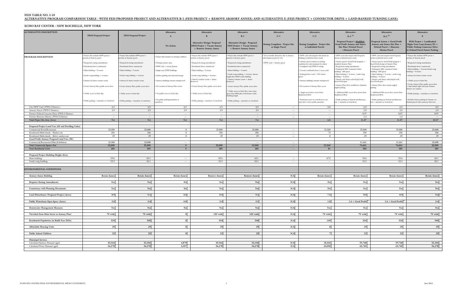#### **FEIS TABLE NO. I-10ALTERNATIVE PROGRAM COMPARISON TABLE - WITH FEIS PROPOSED PROJECT AND ALTERNATIVE B-1 (FEIS PROJECT + REMOVE ARMORY ANNEX) AND ALTERNATIVE E (FEIS PROJECT + CONNECTOR DRIVE + LAND-BANKED TURNING LANE)**

#### **ECHO BAY CENTER - NEW ROCHELLE, NEW YORK**

| <b>ALTERNATIVE DESCRIPTION</b>                                                         |                                                                |                                                                |                                             |                                                                                              |                                                                                                              |                                                                        |                                                                                  |                                                                                                                  |                                                                                                                   |                                                                                                                                        |
|----------------------------------------------------------------------------------------|----------------------------------------------------------------|----------------------------------------------------------------|---------------------------------------------|----------------------------------------------------------------------------------------------|--------------------------------------------------------------------------------------------------------------|------------------------------------------------------------------------|----------------------------------------------------------------------------------|------------------------------------------------------------------------------------------------------------------|-------------------------------------------------------------------------------------------------------------------|----------------------------------------------------------------------------------------------------------------------------------------|
|                                                                                        | <b>DEIS Proposed Project</b>                                   | <b>FEIS Proposed Project</b>                                   | Alternative                                 | Alternative                                                                                  | Alternative                                                                                                  | Alternative                                                            | Alternative                                                                      | Alternative                                                                                                      | Alternative                                                                                                       | Alternative                                                                                                                            |
|                                                                                        |                                                                |                                                                | $\mathbf{A}$                                |                                                                                              | $B-1$                                                                                                        | $C-1$                                                                  | $C-2$                                                                            | $D-1$ <sup>(6)</sup>                                                                                             | $D-2^{(6)}$                                                                                                       |                                                                                                                                        |
|                                                                                        |                                                                |                                                                | No Action                                   | <b>Alternative Design: Proposed</b><br>DEIS Project + Vacant Armory<br>+ Remove Armory Annex | <b>Alternative Design: Proposed</b><br><b>FEIS Project + Vacant Armory</b><br>+ Remove Armory Annex          | Zoning Compliant - Project Site<br>as Single Parcel                    | <b>Zoning Compliant - Project Site</b><br>as Individual Parcels                  | Proposed Project+ Modified<br><b>Good Profit Armory and Annex</b><br>Site Plan+Nelstad Parcel<br>+Mancuso Parcel | Proposed Action + Good Profit<br>Armory and Annex Site Plan +<br>Nelstad Parcel + Mancuso<br><b>Marina Parcel</b> | FEIS Project + Landbanked<br>Right-Turn Lane(Armory Pl) +<br><b>Public Parking Connector Drive</b><br>to Nelstad Parcel Future Parking |
| PROGRAM DESCRIPTION                                                                    | Project Site includes DPW parcel +<br>portion of Armory parcel | Project Site includes DPW parcel +<br>portion of Armory parcel | Project Site remains in existing condition  | Project Site includes DPW parcel +<br>oortion of Armory parcel                               | Project Site includes DPW parcel +<br>portion of Armory parcel                                               | Not a feasible alternative due to Armory<br>redevelopment plan by City | DPW yard redeveloped with mixed use<br>puilding (residential above retail)       | DPW yard redeveloped with Proposed<br>Action residential above retail                                            | DPW yard redeveloped with Proposed<br>Action residential above retail                                             | Project Site includes DPW parcel +<br>portion of Armory parcel                                                                         |
|                                                                                        | Requested zoning amendments                                    | Requested zoning amendments                                    | • Zoning remains same                       | • Requested zoning amendments                                                                | Requested zoning amendments                                                                                  | DPW yard + Armory parcel                                               | Armory parcel remains in existing<br>condition for redevelopment by others       | Armory parcel: Good Profit program +<br>nodified Armory Place                                                    | Armory parcel: Good Profit program +<br>Good Profit design of Armory Place                                        | Requested zoning amendments                                                                                                            |
|                                                                                        | Residential above commercial                                   | Residential above commercial                                   | • DPW yard + vacant Armory                  | · Residential above commercial                                                               | Residential above commercial                                                                                 |                                                                        | • Compliant with PWD-5 zoning                                                    | Requested zoning amendments<br>Parking for EBC contained within                                                  | Requested zoning amendments<br>Parking for EBC contained within                                                   | Residential above commercial<br>Main building $=$ 5 stories/South wing                                                                 |
|                                                                                        | Main building $=$ 5 stories                                    | Main building = 5 stories                                      | · Single story DPW buildings                | • Main building = 5 stories                                                                  | Main building = 5 stories                                                                                    |                                                                        | · 3 stories residential above 1 story retail                                     | uilding: 430 spaces                                                                                              | building: 430 spaces                                                                                              | $building = 4$ stories                                                                                                                 |
|                                                                                        | South wing building = 4 stories                                | South wing building = 4 stories                                | · Surface parking and salt/sand storage     | • South wing building = 4 stories<br>Armory remains vacant + Annex                           | South wing building = 4 stories, shorter<br>length than DEIS south building<br>Armory remains vacant + Annex |                                                                        | · Parking below retail + 215 surface                                             | Main building = 5 stories; south wing<br>building = 4 stories<br>Armory and Annex redeveloped with               | Main building = 5 stories; south wing<br>$building = 4$ stories<br>Armory and Annex redeveloped with              | Armory & Annex remain vacant                                                                                                           |
|                                                                                        | Armory & Annex remain vacant                                   | Armory & Annex remain vacant                                   | Armory buildings remains unimproved         | Removed                                                                                      | Removed                                                                                                      |                                                                        | Armory buildings remains unimproved                                              | Good Profit plan                                                                                                 | Good Profit plan                                                                                                  | Public access to Echo Bay                                                                                                              |
|                                                                                        | Create Armory Place public access drive                        | Create Armory Place public access drive                        | No creation of Armory Place access          | · Create Armory Place public access drive                                                    | Create Armory Place public access drive                                                                      |                                                                        | No creation of Armory Place access                                               | Armory Place drive modified to eliminate<br>ingled parking                                                       | Armory Place drive retains angled<br>parking                                                                      | Create Armory Place public access drive<br>+ land banked right turn lane if future<br>Armory use requires.                             |
|                                                                                        | Public access to Echo Bay                                      | Public access to Echo Bay                                      | • No public access to Echo Bay              | Public access to Echo Bay                                                                    | Public access to Echo Bay; more open<br>space than DEIS plan with shorter south<br>building length.          |                                                                        | · Single access drive across from<br>Stephenson Blvd.                            | Additional EBC access drive across from<br>tephenson Blvd.                                                       | Additional EBC access drive across from<br>tephenson Blvd.                                                        | Public parking + amenities at waterfront                                                                                               |
|                                                                                        | Public parking + amenities at waterfront                       | Public parking + amenities at waterfront                       | No public parking/amenities at<br>aterfront | Public parking + amenities at waterfront                                                     | Public parking + amenities at waterfront                                                                     |                                                                        | · Pedestrian access to waterfront at east<br>entry drive; fewer public amenities | Public parking on Nelstad and Mancuso<br>lots + amenities at waterfront                                          | Public parking on Nelstad and Mancuso<br>ots + amenities at waterfront                                            | Includes future parking for Armory on<br>Nelstad parcel with connector driveway                                                        |
| City DPW Yard (PWD-5 District):                                                        | 6.5                                                            | 6.5                                                            | 6.5                                         | 6.5                                                                                          | 6.5                                                                                                          | $\sim$ $\sim$                                                          | 6.5                                                                              | 6.5                                                                                                              | 6.5                                                                                                               | 6.5                                                                                                                                    |
| Armory Parcel (PWD-5 District):                                                        | 2.9                                                            | 2.9                                                            | 2.9                                         | 2.9                                                                                          | 2.9                                                                                                          | $---$                                                                  | $---$                                                                            | 2.9                                                                                                              | 2.9                                                                                                               | 2.9                                                                                                                                    |
| Former Nelstad Concrete Plant (PWD-3 District)                                         | $\sim$ $\sim$                                                  | $\sim$                                                         | $\sim$                                      | $\sim$                                                                                       | $\overline{\phantom{a}}$                                                                                     | $\sim$ $\sim$                                                          | $\sim$                                                                           | 0.97                                                                                                             | 0.97                                                                                                              | 0.97                                                                                                                                   |
| Former Mancuso Marina (PWD-3 District)<br>Total Project Site Area (Acres)              | $\sim$ $\sim$<br>9.4                                           | $\hspace{0.1em} \ldots$<br>9.4                                 | $\sim$ $\sim$<br>9.4                        | $\sim$ $\sim$ $\sim$<br>9.4                                                                  | $---$<br>9.4                                                                                                 | $---$                                                                  | $---$<br>6.5                                                                     | 1.2<br>11.57                                                                                                     | 1.2<br>11.57                                                                                                      | $---$<br>10.37                                                                                                                         |
|                                                                                        |                                                                |                                                                |                                             |                                                                                              |                                                                                                              |                                                                        |                                                                                  |                                                                                                                  |                                                                                                                   |                                                                                                                                        |
| Proposed Project Land Uses (SF and Dwelling Units)                                     |                                                                |                                                                |                                             |                                                                                              |                                                                                                              |                                                                        |                                                                                  |                                                                                                                  |                                                                                                                   |                                                                                                                                        |
| Commercial Retail/Restaurant                                                           | 25,000                                                         | 25,000                                                         | $\mathbf{0}$                                | 25,000                                                                                       | 25,000                                                                                                       | $---$                                                                  | 22,360                                                                           | 25,000                                                                                                           | 25,000                                                                                                            | 25,000                                                                                                                                 |
| Residential Multi-family - Market rate<br>Residential Multi-family - Below market rate | 256<br>29                                                      | 256<br>29                                                      | $\mathbf{0}$<br>$\mathbf{0}$                | 256<br>29                                                                                    | 256<br>29                                                                                                    | $\sim$<br>$\sim$ $\sim$                                                | 73<br>8                                                                          | 256<br>29                                                                                                        | 256<br>29                                                                                                         | 256<br>29                                                                                                                              |
| Good Profit Armory Proposal Land Uses (SF)                                             |                                                                |                                                                |                                             |                                                                                              |                                                                                                              |                                                                        |                                                                                  |                                                                                                                  |                                                                                                                   |                                                                                                                                        |
| Commercial/Restaurant/Office/Exhibition                                                | 25,000                                                         | 25,000                                                         | $\sim$ $\sim$                               | $\sim$ $\sim$ $\sim$                                                                         | $\overline{\phantom{a}}$                                                                                     | $-$ - $ \,$                                                            | $  -$                                                                            | 51,661                                                                                                           | 51,661                                                                                                            | 25,000                                                                                                                                 |
| <b>Total Commercial Square Feet</b>                                                    | 25,000                                                         | 25,000                                                         | $\bf{0}$                                    | 25,000                                                                                       | 25,000                                                                                                       | $\overline{\phantom{a}}$                                               | 22,360                                                                           | 76,661                                                                                                           | 76,661                                                                                                            | 25,000                                                                                                                                 |
| <b>Total Residential Units</b>                                                         | 285                                                            | 285                                                            | $\bf{0}$                                    | 285                                                                                          | 285                                                                                                          | $\sim$                                                                 | 81                                                                               | 285                                                                                                              | 285                                                                                                               | 285                                                                                                                                    |
| Proposed Project Building Height (Feet)                                                |                                                                |                                                                |                                             |                                                                                              |                                                                                                              |                                                                        |                                                                                  |                                                                                                                  |                                                                                                                   |                                                                                                                                        |
| Main building                                                                          | 59.6                                                           | 63.1                                                           | $\sim$                                      | 59.6                                                                                         | 63.1                                                                                                         | $\sim$                                                                 | 47.5                                                                             | 59.6                                                                                                             | 59.6                                                                                                              | 63.1                                                                                                                                   |
| South wing building                                                                    | 53.3                                                           | 52.1                                                           | $\sim$                                      | 53.3                                                                                         | 52.1                                                                                                         | $\sim$ $\sim$                                                          | $  -$                                                                            | 53.3                                                                                                             | 53.3                                                                                                              | 52.1                                                                                                                                   |
| <b>ENVIRONMENTAL CONDITIONS</b>                                                        |                                                                |                                                                |                                             |                                                                                              |                                                                                                              |                                                                        |                                                                                  |                                                                                                                  |                                                                                                                   |                                                                                                                                        |
| <b>Armory Annex Building</b>                                                           | <b>Retain Annex</b>                                            | <b>Retain Annex</b>                                            | <b>Retain Annex</b>                         | Remove Annex                                                                                 | <b>Remove Annex</b>                                                                                          | N/A                                                                    | <b>Retain Annex</b>                                                              | Retain Annex                                                                                                     | <b>Retain Annex</b>                                                                                               | <b>Retain Annex</b>                                                                                                                    |
| <b>Requires Zoning Amendments</b>                                                      | Yes                                                            | Yes                                                            | $\mathbf{No}$                               | Yes                                                                                          | Yes                                                                                                          | N/A                                                                    | No                                                                               | Yes                                                                                                              | Yes                                                                                                               | Yes                                                                                                                                    |
| <b>Consistency with Planning Documents</b>                                             | Yes                                                            | Yes                                                            | $\mathbf{N}\mathbf{o}$                      | Yes                                                                                          | Yes                                                                                                          | N/A                                                                    | $\mathbf{No}$                                                                    | Yes                                                                                                              | Yes                                                                                                               | Yes                                                                                                                                    |
| Land Disturbance: Proposed Project (Acres)                                             | 8.9                                                            | 9.1                                                            | 0.0                                         | 8.9                                                                                          | 9.1                                                                                                          | N/A                                                                    | 7.3                                                                              | 8.9                                                                                                              | 8.9                                                                                                               | $9.6$ <sup>(1)</sup>                                                                                                                   |
| Public Waterfront Open Space (Acres)                                                   | 3.0                                                            | 3.4                                                            | 0.0                                         | 3.0                                                                                          | 3.1                                                                                                          | N/A                                                                    | 1.8                                                                              | $1.6 + Good Profit^{(4)}$                                                                                        | $1.6 + Good Profit^{(4)}$                                                                                         | 3.4                                                                                                                                    |
| <b>Stormwater Management Measures</b>                                                  | Yes                                                            | Yes                                                            | $\mathbf{No}$                               | Yes                                                                                          | Yes                                                                                                          | N/A                                                                    | Yes                                                                              | Yes                                                                                                              | Yes                                                                                                               | Yes                                                                                                                                    |
| Viewshed from Main Street at Armory Place                                              | 70' wide                                                       | 70' wide                                                       | $\vert$ 0                                   | 120' wide                                                                                    | 120' wide                                                                                                    | N/A                                                                    | 70' wide                                                                         | 70' wide                                                                                                         | 70' wide                                                                                                          | 70' wide                                                                                                                               |
| Residential Population (in Build Year 2016)                                            | 524                                                            | 540                                                            | $\mathbf{0}$                                | 524                                                                                          | 540                                                                                                          | N/A                                                                    | 149                                                                              | 524                                                                                                              | 524                                                                                                               | 540                                                                                                                                    |
| <b>Affordable Housing Units</b>                                                        | 29                                                             | 29                                                             | $\mathbf{0}$                                | 29                                                                                           | 29                                                                                                           | N/A                                                                    | $\bf8$                                                                           | 29                                                                                                               | 29                                                                                                                | 29                                                                                                                                     |
|                                                                                        |                                                                |                                                                | $\mathbf{0}$                                |                                                                                              |                                                                                                              |                                                                        | $\overline{7}$                                                                   |                                                                                                                  |                                                                                                                   |                                                                                                                                        |
| Public School Children                                                                 | 22                                                             | 25                                                             |                                             | 22                                                                                           | 25                                                                                                           | N/A                                                                    |                                                                                  | 22                                                                                                               | 22                                                                                                                | 25                                                                                                                                     |
| <b>Municipal Services</b>                                                              |                                                                |                                                                |                                             |                                                                                              |                                                                                                              |                                                                        |                                                                                  |                                                                                                                  |                                                                                                                   |                                                                                                                                        |
| Calculated Sanitary Demand (gpd)<br>Calculated Water Demand (gpd)                      | 49,344<br>54,278                                               | 52,104<br>54,278                                               | 4,870<br>5,357                              | 49,344<br>54,278                                                                             | 52,104<br>54,278                                                                                             | N/A<br>N/A                                                             | 18,264<br>20,090                                                                 | 59,768<br>65,745                                                                                                 | 59,768<br>65,745                                                                                                  | 52,104<br>54,278                                                                                                                       |
|                                                                                        |                                                                |                                                                |                                             |                                                                                              |                                                                                                              |                                                                        |                                                                                  |                                                                                                                  |                                                                                                                   |                                                                                                                                        |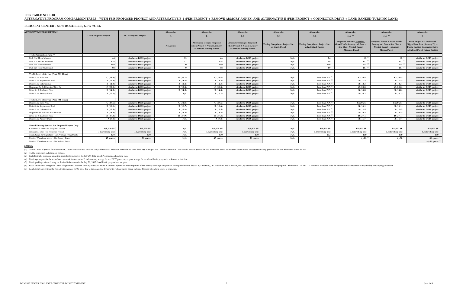#### **ECHO BAY CENTER - NEW ROCHELLE, NEW YORK**

|                                                         |                              |                              |             |                                                                                              |                                                                                              |                                                     |                                                          |                                                                                                           |                                                                                                            | Alternative                                                                                                                            |
|---------------------------------------------------------|------------------------------|------------------------------|-------------|----------------------------------------------------------------------------------------------|----------------------------------------------------------------------------------------------|-----------------------------------------------------|----------------------------------------------------------|-----------------------------------------------------------------------------------------------------------|------------------------------------------------------------------------------------------------------------|----------------------------------------------------------------------------------------------------------------------------------------|
| <b>ALTERNATIVE DESCRIPTION</b>                          |                              |                              | Alternative | Alternative                                                                                  | <b>Alternative</b>                                                                           | Alternative                                         | Alternative                                              | <b>Alternative</b>                                                                                        | <b>Alternative</b>                                                                                         |                                                                                                                                        |
|                                                         | <b>DEIS Proposed Project</b> | <b>FEIS Proposed Project</b> |             |                                                                                              | $B-1$                                                                                        | $C-1$                                               | $C-2$                                                    | $D-1^{(6)}$                                                                                               | $D-2^{(6)}$                                                                                                |                                                                                                                                        |
|                                                         |                              |                              | No Action   | <b>Alternative Design: Proposed</b><br>DEIS Project + Vacant Armory<br>+ Remove Armory Annex | <b>Alternative Design: Proposed</b><br>FEIS Project + Vacant Armory<br>+ Remove Armory Annex | Zoning Compliant - Project Site<br>as Single Parcel | Zoning Compliant - Project Site<br>as Individual Parcels | Proposed Project+ Modified<br>Good Profit Armory and Annex<br>Site Plan+Nelstad Parcel<br>+Mancuso Parcel | Proposed Action + Good Profit<br>Armory and Annex Site Plan +<br>Nelstad Parcel + Mancuso<br>Marina Parcel | FEIS Project + Landbanked<br>Right-Turn Lane(Armory Pl) +<br><b>Public Parking Connector Drive</b><br>to Nelstad Parcel Future Parking |
| Traffic Generation (vph) <sup>(2)</sup>                 |                              |                              |             |                                                                                              |                                                                                              |                                                     |                                                          |                                                                                                           |                                                                                                            |                                                                                                                                        |
| Peak AM Hour Inbound                                    | 44                           | similar to DEIS project      | 12          | 44                                                                                           | similar to DEIS project                                                                      | N/A                                                 | 24                                                       | $65^{(3)}$                                                                                                | $65^{(3)}$                                                                                                 | similar to DEIS project                                                                                                                |
| Peak AM Hour Outbound                                   | 124                          | similar to DEIS project      | 17          | 124                                                                                          | similar to DEIS project                                                                      | N/A                                                 | 45                                                       | $127^{(3)}$                                                                                               | $127^{(3)}$                                                                                                | similar to DEIS project                                                                                                                |
| Peak PM Hour Inbound                                    | 149                          | similar to DEIS project      |             | 149                                                                                          | similar to DEIS project                                                                      | N/A                                                 | 106                                                      | $223^{(3)}$                                                                                               | $223^{(3)}$                                                                                                | similar to DEIS project                                                                                                                |
| Peak PM Hour Outbound                                   | 98                           | similar to DEIS project      |             | 98                                                                                           | similar to DEIS project                                                                      | N/A                                                 | 89                                                       | $141^{(3)}$                                                                                               | $141^\circ$                                                                                                | similar to DEIS project                                                                                                                |
|                                                         |                              |                              |             |                                                                                              |                                                                                              |                                                     |                                                          |                                                                                                           |                                                                                                            |                                                                                                                                        |
| Traffic Level of Service (Peak AM Hour)                 |                              |                              |             |                                                                                              |                                                                                              |                                                     |                                                          |                                                                                                           |                                                                                                            |                                                                                                                                        |
| Main St. & Echo Ave.                                    | C(29.4)                      | similar to DEIS project      | D(36.1)     | C(29.4)                                                                                      | similar to DEIS project                                                                      | N/A                                                 | Less than P.P.                                           | C(29.8)                                                                                                   | C(29.8)                                                                                                    | similar to DEIS project                                                                                                                |
| Main St. & Stephenson Blvd.                             | B(11.3)                      | similar to DEIS project      | B(14.4)     | B(11.3)                                                                                      | similar to DEIS project                                                                      | N/A                                                 | Less than P.P.                                           | B(11.3)                                                                                                   | B(11.3)                                                                                                    | similar to DEIS project                                                                                                                |
| Main St. & LeFevres Ln.                                 | B(12.3)                      | similar to DEIS project      | B(12.2)     | B(12.3)                                                                                      | similar to DEIS project                                                                      | N/A                                                 | Less than P.P.                                           | B(12.3)                                                                                                   | B(12.3)                                                                                                    | similar to DEIS project                                                                                                                |
| Huguenot St. & Echo Ave/River St.                       | C(20.0)                      | similar to DEIS project      | B(18.8)     | C(20.0)                                                                                      | similar to DEIS project                                                                      | N/A                                                 | Less than P.P.                                           | C(20.0)                                                                                                   | C(20.0)                                                                                                    | similar to DEIS project                                                                                                                |
| River St. & Radisson Plaza                              | B(14.8)                      | similar to DEIS project      | B(14.5)     | B(14.8)                                                                                      | similar to DEIS project                                                                      | N/A                                                 | Less than P.P.                                           | B(14.8)                                                                                                   | B(14.8)                                                                                                    | similar to DEIS project                                                                                                                |
| Main St. & Armory Place                                 | B(10.2)                      | similar to DEIS project      | N/A         | B(10.2)                                                                                      | similar to DEIS project                                                                      | N/A                                                 | Less than P.P.                                           | B(10.2)                                                                                                   | B(10.2)                                                                                                    | similar to DEIS project                                                                                                                |
|                                                         |                              |                              |             |                                                                                              |                                                                                              |                                                     |                                                          |                                                                                                           |                                                                                                            |                                                                                                                                        |
| Traffic Level of Service (Peak PM Hour)                 |                              |                              |             |                                                                                              |                                                                                              |                                                     |                                                          |                                                                                                           |                                                                                                            |                                                                                                                                        |
| Main St. & Echo Ave.                                    | C(29.6)                      | similar to DEIS project      | C(31.8)     | C(29.6)                                                                                      | similar to DEIS project                                                                      | N/A                                                 | Less than P.P.                                           | C(30.36)                                                                                                  | C(30.36)                                                                                                   | similar to DEIS project                                                                                                                |
| Main St. & Stephenson Blvd.                             | B(16.6)                      | similar to DEIS project      | B(16.7)     | B(16.6)                                                                                      | similar to DEIS project                                                                      | N/A                                                 | Less than P.P.                                           | B(16.1)                                                                                                   | B(16.1)                                                                                                    | similar to DEIS project                                                                                                                |
| Main St. & LeFevres Ln.                                 | B(12.5)                      | similar to DEIS project      | B(12.4)     | B(12.5)                                                                                      | similar to DEIS project                                                                      | N/A                                                 | Less than P.P.                                           | B(12.5)                                                                                                   | B(12.5)                                                                                                    | similar to DEIS project                                                                                                                |
| Huguenot St. & Echo Ave/River St.                       | B(18.8)                      | similar to DEIS project      | B(18.3)     | B(18.8)                                                                                      | similar to DEIS project                                                                      | N/A                                                 | Less than P.P.                                           | B(19.3)                                                                                                   | B(19.3)                                                                                                    | similar to DEIS project                                                                                                                |
| River St. & Radisson Plaza                              | D(37.3)                      | similar to DEIS project      | D(37.9)     | D(37.3)                                                                                      | similar to DEIS project                                                                      | N/A                                                 | Less than P.P.                                           | D(37.1)                                                                                                   | D(37.1)                                                                                                    | similar to DEIS project                                                                                                                |
| Main St. & Armory Place                                 | A(9.8)                       | similar to DEIS project      | N/A         | A(9.8)                                                                                       | similar to DEIS project                                                                      | N/A                                                 | Less than P.P.                                           | B(11.7)                                                                                                   | B(11.7)                                                                                                    |                                                                                                                                        |
|                                                         |                              |                              |             |                                                                                              |                                                                                              |                                                     |                                                          |                                                                                                           |                                                                                                            |                                                                                                                                        |
| Shared Parking Spaces - For Proposed Project Only       |                              |                              |             |                                                                                              |                                                                                              |                                                     |                                                          |                                                                                                           |                                                                                                            |                                                                                                                                        |
| Commercial ratio - for Proposed Project                 | 4/1,000 SF                   | $4/1,000$ SF                 | N/A         | $4/1,000$ SF                                                                                 | $4/1,000$ SF                                                                                 | N/A                                                 | $4/1,000$ SF                                             | $4/1,000$ SF                                                                                              | $4/1,000$ SF                                                                                               | $4/1,000$ SF                                                                                                                           |
| Residential ratio - for Proposed Project                | 1.5/dwelling unit            | 1.5/dwelling unit            | N/A         | 1.5/dwelling unit                                                                            | 1.5/dwelling unit                                                                            | N/A                                                 | 1.5/dwelling unit                                        | 1.5/dwelling unit                                                                                         | 1.5/dwelling unit                                                                                          | 1.5/dwelling unit                                                                                                                      |
| Total shared parking spaces - for Proposed Project Only | 430                          | 430                          | N/A         | 430                                                                                          | 430                                                                                          | N/A                                                 | 212                                                      | 430                                                                                                       | 430                                                                                                        | 430                                                                                                                                    |
| Public - Waterfront access - On Armory Parcel           | 45 spaces                    | 30 spaces                    | N/A         | 45 spaces                                                                                    | 30 spaces                                                                                    | N/A                                                 |                                                          | $+/-12$ <sup>(5)</sup>                                                                                    | $+/-30$ <sup>(5)</sup>                                                                                     |                                                                                                                                        |
| Public - Waterfront access - On Nelstad Parcel          |                              |                              |             |                                                                                              |                                                                                              |                                                     |                                                          |                                                                                                           |                                                                                                            | +/-50 spaces $(7)$                                                                                                                     |

#### **NOTES:**

(1) Actual Levels of Service for Alternative C-2 were not calculated since the only difference is a reduction in residential units from 285 in Project to 81 in this Alternative. The actual Levels of Service for this Altern

(2) Traffic generation includes pass-by trips.

(3) Includes traffic estimated using the limited information in the July 20, 2012 Good Profit proposal and site plan.

(4) Public open space for the waterfront esplanade in Alternative D includes only acreage for the DPW parcel; open space acreage for the Good Profit proposal is unknown at this time.

(5) Public parking estimated using the limited information in the July 20, 2012 Good Profit proposal and site plan.

(6) Good Profit failed to sign the "letter of agreement" between the City and Good Profit in order to explore the redevelopment of the Armory buildings and provide the required escrow deposit by a February, 2013 deadline,

(7) Land disturbance within the Project Site increases by 0.5 acres due to the connector driveway to Nelstad parcel future parking. Number of parking spaces is estimated.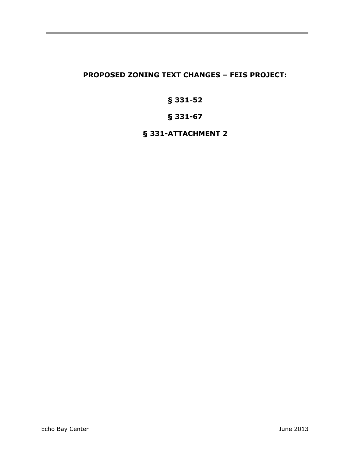# **PROPOSED ZONING TEXT CHANGES – FEIS PROJECT:**

# **§ 331-52**

# **§ 331-67**

# **§ 331-ATTACHMENT 2**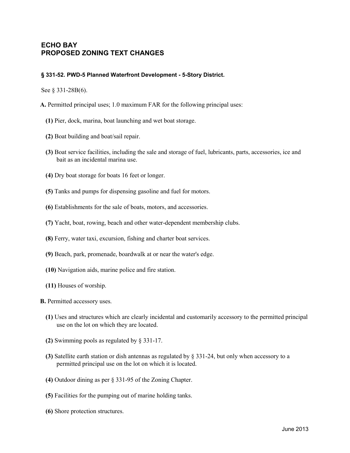#### **ECHO BAY PROPOSED ZONING TEXT CHANGES**

#### **§ 331-52. PWD-5 Planned Waterfront Development - 5-Story District.**

See § 331-28B(6).

**A.** Permitted principal uses; 1.0 maximum FAR for the following principal uses:

- **(1)** Pier, dock, marina, boat launching and wet boat storage.
- **(2)** Boat building and boat/sail repair.
- **(3)** Boat service facilities, including the sale and storage of fuel, lubricants, parts, accessories, ice and bait as an incidental marina use.
- **(4)** Dry boat storage for boats 16 feet or longer.
- **(5)** Tanks and pumps for dispensing gasoline and fuel for motors.
- **(6)** Establishments for the sale of boats, motors, and accessories.
- **(7)** Yacht, boat, rowing, beach and other water-dependent membership clubs.
- **(8)** Ferry, water taxi, excursion, fishing and charter boat services.
- **(9)** Beach, park, promenade, boardwalk at or near the water's edge.
- **(10)** Navigation aids, marine police and fire station.
- **(11)** Houses of worship.

**B.** Permitted accessory uses.

- **(1)** Uses and structures which are clearly incidental and customarily accessory to the permitted principal use on the lot on which they are located.
- **(2)** Swimming pools as regulated by § 331-17.
- **(3)** Satellite earth station or dish antennas as regulated by § 331-24, but only when accessory to a permitted principal use on the lot on which it is located.
- **(4)** Outdoor dining as per § 331-95 of the Zoning Chapter.
- **(5)** Facilities for the pumping out of marine holding tanks.
- **(6)** Shore protection structures.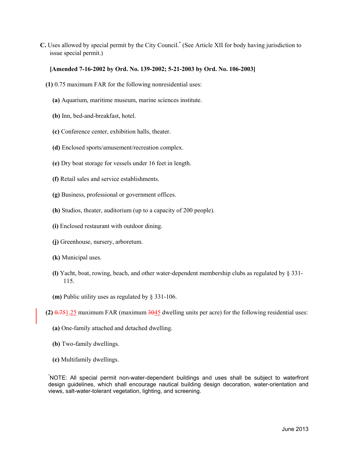**C.** Uses allowed by special permit by the City Council. \* (See Article XII for body having jurisdiction to issue special permit.)

#### **[Amended 7-16-2002 by Ord. No. 139-2002; 5-21-2003 by Ord. No. 106-2003]**

- **(1)** 0.75 maximum FAR for the following nonresidential uses:
	- **(a)** Aquarium, maritime museum, marine sciences institute.
	- **(b)** Inn, bed-and-breakfast, hotel.
	- **(c)** Conference center, exhibition halls, theater.
	- **(d)** Enclosed sports/amusement/recreation complex.
	- **(e)** Dry boat storage for vessels under 16 feet in length.
	- **(f)** Retail sales and service establishments.
	- **(g)** Business, professional or government offices.
	- **(h)** Studios, theater, auditorium (up to a capacity of 200 people).
	- **(i)** Enclosed restaurant with outdoor dining.
	- **(j)** Greenhouse, nursery, arboretum.
	- **(k)** Municipal uses.
	- **(l)** Yacht, boat, rowing, beach, and other water-dependent membership clubs as regulated by § 331- 115.
	- **(m)** Public utility uses as regulated by § 331-106.
- **(2)** 0.751.25 maximum FAR (maximum 3045 dwelling units per acre) for the following residential uses:
	- **(a)** One-family attached and detached dwelling.
	- **(b)** Two-family dwellings.
	- **(c)** Multifamily dwellings.

\*NOTE: All special permit non-water-dependent buildings and uses shall be subject to waterfront design guidelines, which shall encourage nautical building design decoration, water-orientation and views, salt-water-tolerant vegetation, lighting, and screening.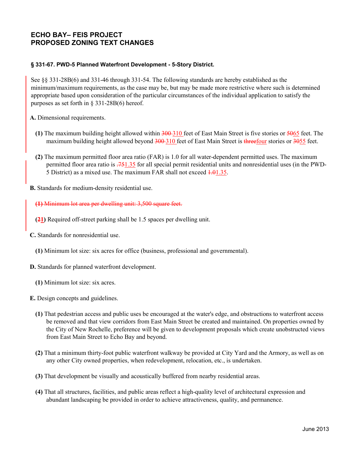## **ECHO BAY– FEIS PROJECT PROPOSED ZONING TEXT CHANGES**

#### **§ 331-67. PWD-5 Planned Waterfront Development - 5-Story District.**

See §§ 331-28B(6) and 331-46 through 331-54. The following standards are hereby established as the minimum/maximum requirements, as the case may be, but may be made more restrictive where such is determined appropriate based upon consideration of the particular circumstances of the individual application to satisfy the purposes as set forth in § 331-28B(6) hereof.

**A.** Dimensional requirements.

- **(1)** The maximum building height allowed within 300 310 feet of East Main Street is five stories or 5065 feet. The maximum building height allowed beyond 300-310 feet of East Main Street is threefour stories or 3055 feet.
- **(2)** The maximum permitted floor area ratio (FAR) is 1.0 for all water-dependent permitted uses. The maximum permitted floor area ratio is .751.35 for all special permit residential units and nonresidential uses (in the PWD-5 District) as a mixed use. The maximum FAR shall not exceed  $\frac{1.01}{1.35}$ .
- **B.** Standards for medium-density residential use.

**(1)** Minimum lot area per dwelling unit: 3,500 square feet.

- **(21)** Required off-street parking shall be 1.5 spaces per dwelling unit.
- **C.** Standards for nonresidential use.
	- **(1)** Minimum lot size: six acres for office (business, professional and governmental).
- **D.** Standards for planned waterfront development.
	- **(1)** Minimum lot size: six acres.
- **E.** Design concepts and guidelines.
	- **(1)** That pedestrian access and public uses be encouraged at the water's edge, and obstructions to waterfront access be removed and that view corridors from East Main Street be created and maintained. On properties owned by the City of New Rochelle, preference will be given to development proposals which create unobstructed views from East Main Street to Echo Bay and beyond.
	- **(2)** That a minimum thirty-foot public waterfront walkway be provided at City Yard and the Armory, as well as on any other City owned properties, when redevelopment, relocation, etc., is undertaken.
	- **(3)** That development be visually and acoustically buffered from nearby residential areas.
	- **(4)** That all structures, facilities, and public areas reflect a high-quality level of architectural expression and abundant landscaping be provided in order to achieve attractiveness, quality, and permanence.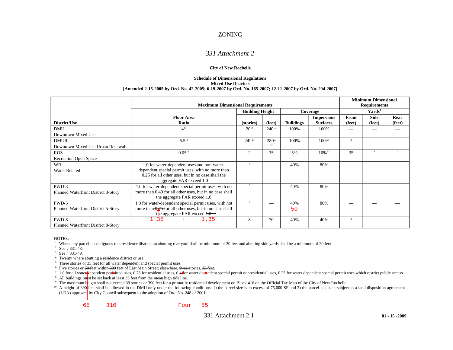#### ZONING

#### *331 Attachment 2*

#### **City of New Rochelle**

#### **Schedule of Dimensional Regulations Mixed-Use Districts [Amended 2-15-2005 by Ord. No. 42-2005; 6-19-2007 by Ord. No. 165-2007; 12-11-2007 by Ord. No. 294-2007]**

|                                     | <b>Maximum Dimensional Requirements</b>                                                                     | <b>Minimum Dimensional</b><br><b>Requirements</b> |            |                  |                                      |                    |                |                |
|-------------------------------------|-------------------------------------------------------------------------------------------------------------|---------------------------------------------------|------------|------------------|--------------------------------------|--------------------|----------------|----------------|
|                                     |                                                                                                             | <b>Building Height</b>                            |            |                  | Coverage                             | Yards <sup>1</sup> |                |                |
| District/Use                        | <b>Floor Area</b><br>Ratio                                                                                  | (stories)                                         | (feet)     | <b>Buildings</b> | <b>Impervious</b><br><b>Surfaces</b> | Front<br>(feet)    | Side<br>(feet) | Rear<br>(feet) |
| <b>DMU</b>                          | $4^{13}$                                                                                                    | $20^{13}$                                         | $240^{10}$ | 100%             | 100%                                 |                    |                |                |
| Downtown Mixed Use                  |                                                                                                             |                                                   |            |                  |                                      |                    |                |                |
| <b>DMUR</b>                         | $5.5^{13}$                                                                                                  | $24^{9,13}$                                       | $280^{9}$  | 100%             | 100%                                 | 2                  |                |                |
| Downtown Mixed Use Urban Renewal    |                                                                                                             |                                                   | 13         |                  |                                      |                    |                |                |
| <b>ROS</b>                          | $0.05^{11}$                                                                                                 | $\overline{2}$                                    | 35         | 5%               | $10\%^{12}$                          | 35                 |                |                |
| <b>Recreation Open Space</b>        |                                                                                                             |                                                   |            |                  |                                      |                    |                |                |
| <b>WR</b>                           | 1.0 for water-dependent uses and non-water-                                                                 | $5\phantom{.0}$                                   |            | 40%              | 80%                                  |                    |                |                |
| <b>Water Related</b>                | dependent special permit uses, with no more than                                                            |                                                   |            |                  |                                      |                    |                |                |
|                                     | 0.25 for all other uses, but in no case shall the<br>aggregate FAR exceed 1.0                               |                                                   |            |                  |                                      |                    |                |                |
| PWD-3                               | 1.0 for water-dependent special permit uses, with no                                                        | 6                                                 |            | 40%              | 80%                                  |                    |                |                |
| Planned Waterfront District 3-Story | more than 0.40 for all other uses, but in no case shall<br>the aggregate FAR exceed 1.0                     |                                                   |            |                  |                                      |                    |                |                |
| PWD-5                               | 1.0 for water-dependent special permit uses, with not                                                       | 6                                                 |            | $-40%$           | 80%                                  |                    |                |                |
| Planned Waterfront District 5-Story | more than $\frac{1}{2}$ for all other uses, but in no case shall<br>the aggregate FAR exceed $t$ . $\theta$ |                                                   |            | 50               |                                      |                    |                |                |
| PWD-8                               | .35<br>1.35                                                                                                 | 8                                                 | 70         | 40%              | 40%                                  | 8                  |                |                |
| Planned Waterfront District 8-Story |                                                                                                             |                                                   |            |                  |                                      |                    |                |                |

NOTES:

<sup>1</sup> Where any parcel is contiguous to a residence district, an abutting rear yard shall be minimum of 30 feet and abutting side yards shall be a minimum of 20 feet

<sup>2</sup> See § 331-48.

<sup>3</sup> See § 331-49.

<sup>4</sup> Twenty where abutting a residence district or use.

<sup>5</sup> Three stories or 35 feet for all water dependent and special permit uses.

<sup>6</sup> Five stories or 50 feet within 300 feet of East Main Street; elsewhere, three stories, 35 feet.

 $\frac{7}{10}$  1.0 for all water dependent permitted uses, 0.75 for residential uses, 0.4 for water dependent special permit nonresidential uses, 0.25 for water dependent special permit uses which restrict public access.

<sup>8</sup> All buildings must be set back at least 35 feet from the mean high tide line.

<sup>9</sup> The maximum height shall not exceed 39 stories or 390 feet for a primarily residential development on Block 416 on the Official Tax Map of the City of New Rochelle.

<sup>10</sup> A height of 390 feet shall be allowed in the DMU only under the following conditions: 1) the parcel size is in excess of 75,000 SF and 2) the parcel has been subject to a land disposition agreement  $(LDA)$  approved by City Council subsequent to the adoption of Ord. No. 248 of 2001.



331 Attachment 2:1 **01 - 15 -2009**